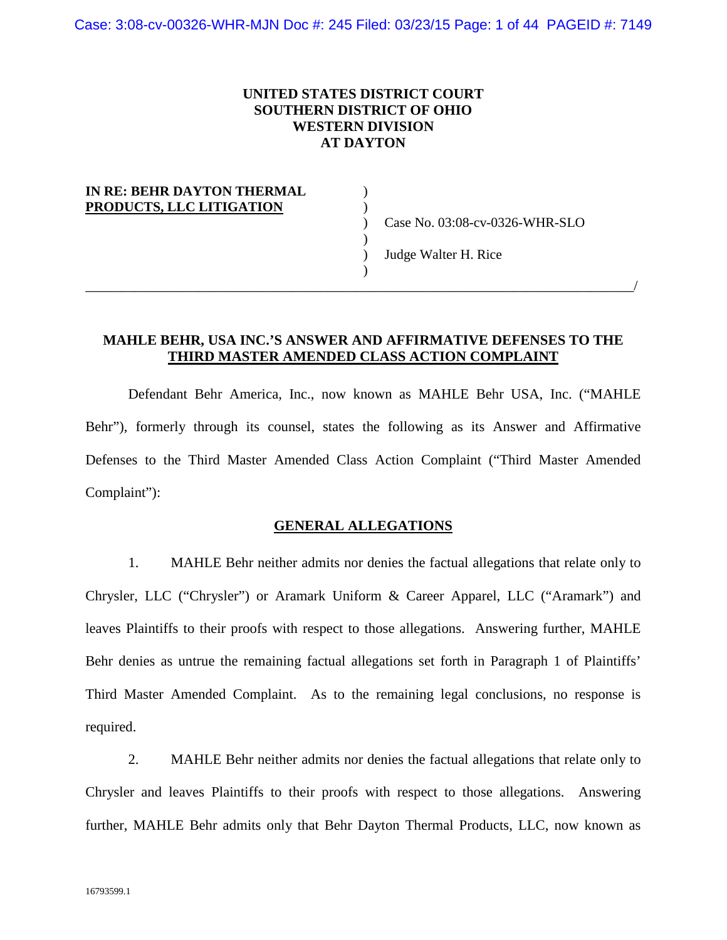# **UNITED STATES DISTRICT COURT SOUTHERN DISTRICT OF OHIO WESTERN DIVISION AT DAYTON**

| IN RE: BEHR DAYTON THERMAL      |                                |
|---------------------------------|--------------------------------|
| <b>PRODUCTS, LLC LITIGATION</b> |                                |
|                                 | Case No. 03:08-cv-0326-WHR-SLO |
|                                 |                                |
|                                 | Judge Walter H. Rice           |
|                                 |                                |
|                                 |                                |

# **MAHLE BEHR, USA INC.'S ANSWER AND AFFIRMATIVE DEFENSES TO THE THIRD MASTER AMENDED CLASS ACTION COMPLAINT**

Defendant Behr America, Inc., now known as MAHLE Behr USA, Inc. ("MAHLE Behr"), formerly through its counsel, states the following as its Answer and Affirmative Defenses to the Third Master Amended Class Action Complaint ("Third Master Amended Complaint"):

# **GENERAL ALLEGATIONS**

1. MAHLE Behr neither admits nor denies the factual allegations that relate only to Chrysler, LLC ("Chrysler") or Aramark Uniform & Career Apparel, LLC ("Aramark") and leaves Plaintiffs to their proofs with respect to those allegations. Answering further, MAHLE Behr denies as untrue the remaining factual allegations set forth in Paragraph 1 of Plaintiffs' Third Master Amended Complaint. As to the remaining legal conclusions, no response is required.

2. MAHLE Behr neither admits nor denies the factual allegations that relate only to Chrysler and leaves Plaintiffs to their proofs with respect to those allegations. Answering further, MAHLE Behr admits only that Behr Dayton Thermal Products, LLC, now known as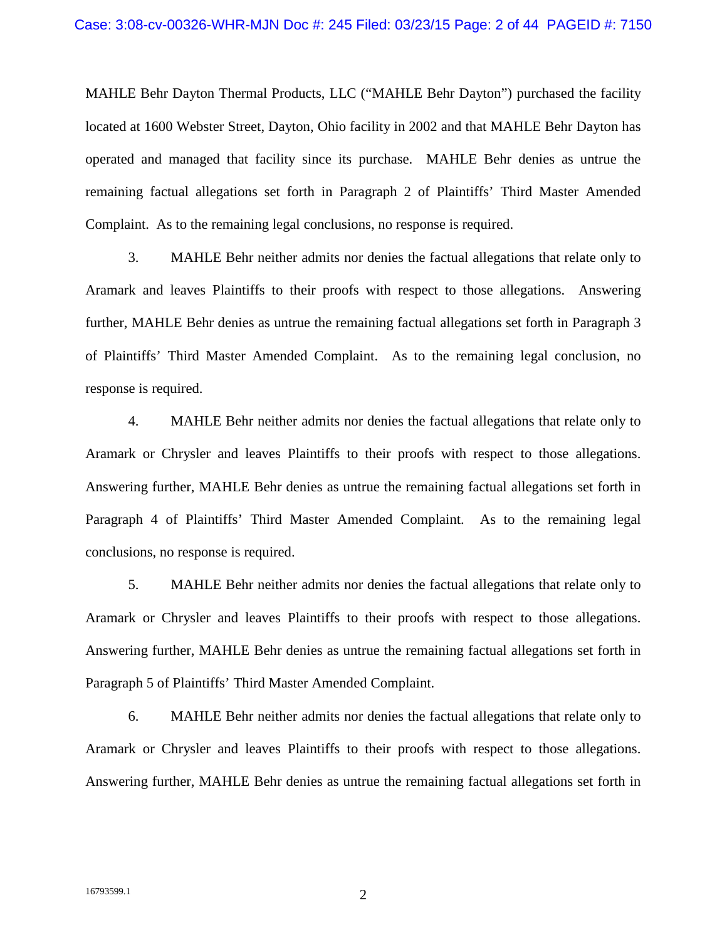MAHLE Behr Dayton Thermal Products, LLC ("MAHLE Behr Dayton") purchased the facility located at 1600 Webster Street, Dayton, Ohio facility in 2002 and that MAHLE Behr Dayton has operated and managed that facility since its purchase. MAHLE Behr denies as untrue the remaining factual allegations set forth in Paragraph 2 of Plaintiffs' Third Master Amended Complaint. As to the remaining legal conclusions, no response is required.

3. MAHLE Behr neither admits nor denies the factual allegations that relate only to Aramark and leaves Plaintiffs to their proofs with respect to those allegations. Answering further, MAHLE Behr denies as untrue the remaining factual allegations set forth in Paragraph 3 of Plaintiffs' Third Master Amended Complaint. As to the remaining legal conclusion, no response is required.

4. MAHLE Behr neither admits nor denies the factual allegations that relate only to Aramark or Chrysler and leaves Plaintiffs to their proofs with respect to those allegations. Answering further, MAHLE Behr denies as untrue the remaining factual allegations set forth in Paragraph 4 of Plaintiffs' Third Master Amended Complaint. As to the remaining legal conclusions, no response is required.

5. MAHLE Behr neither admits nor denies the factual allegations that relate only to Aramark or Chrysler and leaves Plaintiffs to their proofs with respect to those allegations. Answering further, MAHLE Behr denies as untrue the remaining factual allegations set forth in Paragraph 5 of Plaintiffs' Third Master Amended Complaint.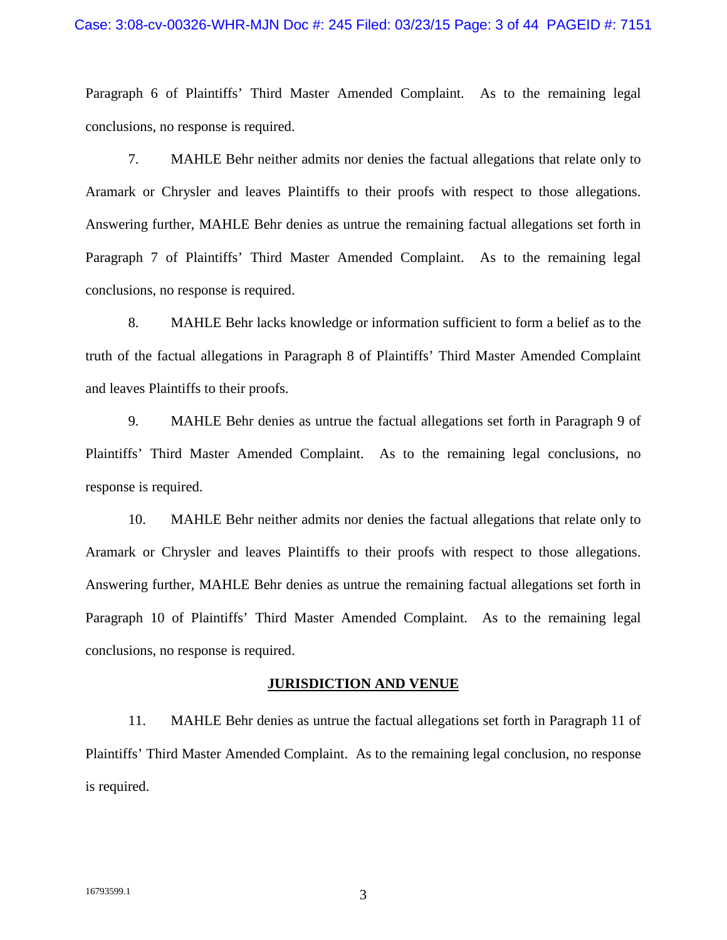#### Case: 3:08-cv-00326-WHR-MJN Doc #: 245 Filed: 03/23/15 Page: 3 of 44 PAGEID #: 7151

Paragraph 6 of Plaintiffs' Third Master Amended Complaint. As to the remaining legal conclusions, no response is required.

7. MAHLE Behr neither admits nor denies the factual allegations that relate only to Aramark or Chrysler and leaves Plaintiffs to their proofs with respect to those allegations. Answering further, MAHLE Behr denies as untrue the remaining factual allegations set forth in Paragraph 7 of Plaintiffs' Third Master Amended Complaint. As to the remaining legal conclusions, no response is required.

8. MAHLE Behr lacks knowledge or information sufficient to form a belief as to the truth of the factual allegations in Paragraph 8 of Plaintiffs' Third Master Amended Complaint and leaves Plaintiffs to their proofs.

9. MAHLE Behr denies as untrue the factual allegations set forth in Paragraph 9 of Plaintiffs' Third Master Amended Complaint. As to the remaining legal conclusions, no response is required.

10. MAHLE Behr neither admits nor denies the factual allegations that relate only to Aramark or Chrysler and leaves Plaintiffs to their proofs with respect to those allegations. Answering further, MAHLE Behr denies as untrue the remaining factual allegations set forth in Paragraph 10 of Plaintiffs' Third Master Amended Complaint. As to the remaining legal conclusions, no response is required.

### **JURISDICTION AND VENUE**

11. MAHLE Behr denies as untrue the factual allegations set forth in Paragraph 11 of Plaintiffs' Third Master Amended Complaint. As to the remaining legal conclusion, no response is required.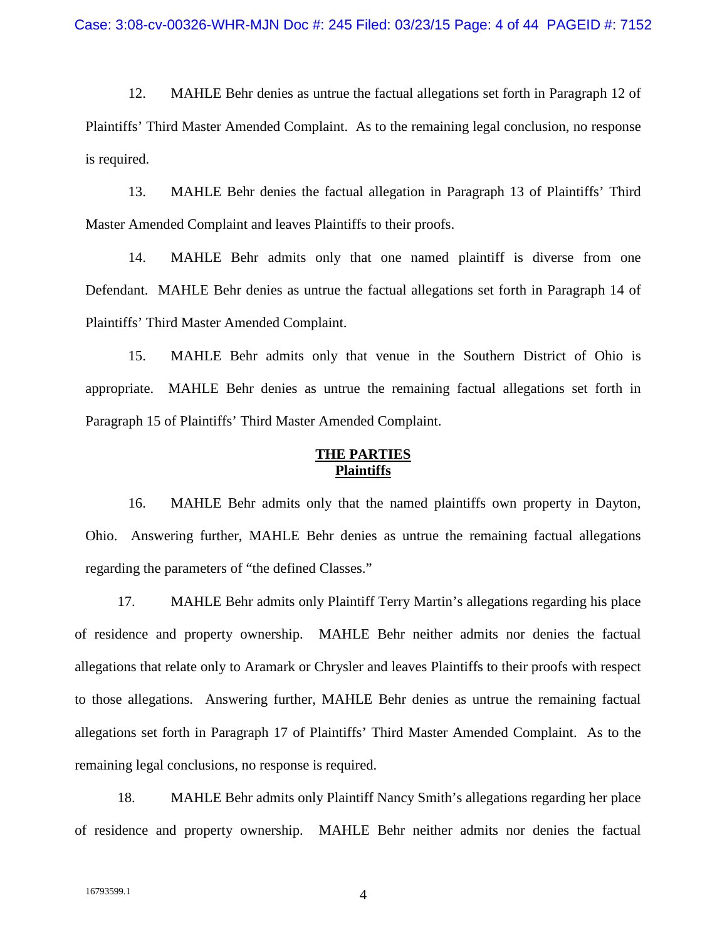12. MAHLE Behr denies as untrue the factual allegations set forth in Paragraph 12 of Plaintiffs' Third Master Amended Complaint. As to the remaining legal conclusion, no response is required.

13. MAHLE Behr denies the factual allegation in Paragraph 13 of Plaintiffs' Third Master Amended Complaint and leaves Plaintiffs to their proofs.

14. MAHLE Behr admits only that one named plaintiff is diverse from one Defendant. MAHLE Behr denies as untrue the factual allegations set forth in Paragraph 14 of Plaintiffs' Third Master Amended Complaint.

15. MAHLE Behr admits only that venue in the Southern District of Ohio is appropriate. MAHLE Behr denies as untrue the remaining factual allegations set forth in Paragraph 15 of Plaintiffs' Third Master Amended Complaint.

# **THE PARTIES Plaintiffs**

16. MAHLE Behr admits only that the named plaintiffs own property in Dayton, Ohio. Answering further, MAHLE Behr denies as untrue the remaining factual allegations regarding the parameters of "the defined Classes."

17. MAHLE Behr admits only Plaintiff Terry Martin's allegations regarding his place of residence and property ownership. MAHLE Behr neither admits nor denies the factual allegations that relate only to Aramark or Chrysler and leaves Plaintiffs to their proofs with respect to those allegations. Answering further, MAHLE Behr denies as untrue the remaining factual allegations set forth in Paragraph 17 of Plaintiffs' Third Master Amended Complaint. As to the remaining legal conclusions, no response is required.

18. MAHLE Behr admits only Plaintiff Nancy Smith's allegations regarding her place of residence and property ownership. MAHLE Behr neither admits nor denies the factual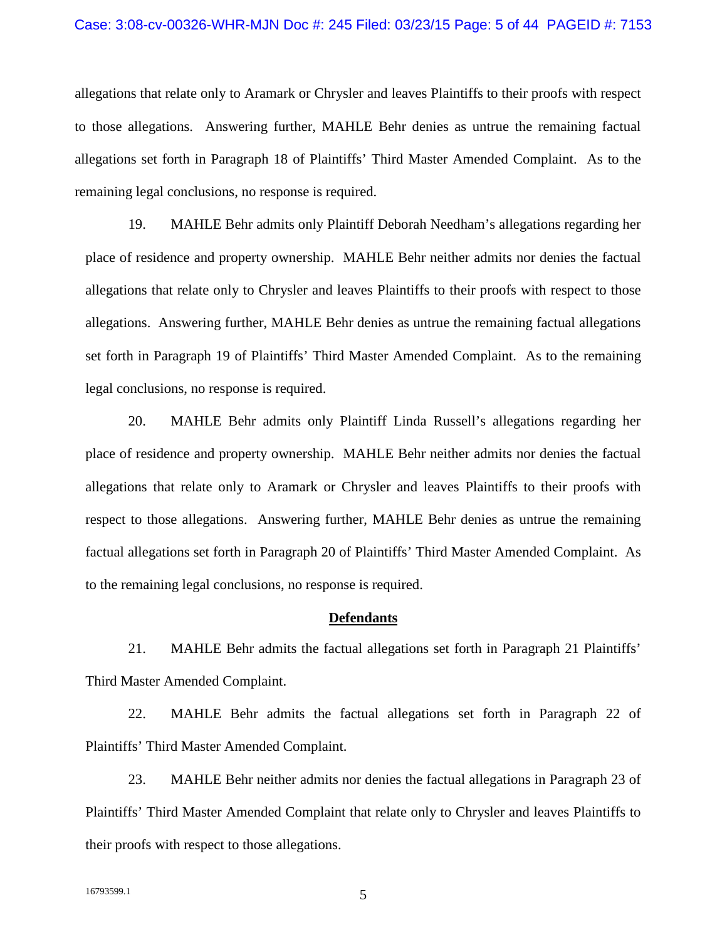#### Case: 3:08-cv-00326-WHR-MJN Doc #: 245 Filed: 03/23/15 Page: 5 of 44 PAGEID #: 7153

allegations that relate only to Aramark or Chrysler and leaves Plaintiffs to their proofs with respect to those allegations. Answering further, MAHLE Behr denies as untrue the remaining factual allegations set forth in Paragraph 18 of Plaintiffs' Third Master Amended Complaint. As to the remaining legal conclusions, no response is required.

19. MAHLE Behr admits only Plaintiff Deborah Needham's allegations regarding her place of residence and property ownership. MAHLE Behr neither admits nor denies the factual allegations that relate only to Chrysler and leaves Plaintiffs to their proofs with respect to those allegations. Answering further, MAHLE Behr denies as untrue the remaining factual allegations set forth in Paragraph 19 of Plaintiffs' Third Master Amended Complaint. As to the remaining legal conclusions, no response is required.

20. MAHLE Behr admits only Plaintiff Linda Russell's allegations regarding her place of residence and property ownership. MAHLE Behr neither admits nor denies the factual allegations that relate only to Aramark or Chrysler and leaves Plaintiffs to their proofs with respect to those allegations. Answering further, MAHLE Behr denies as untrue the remaining factual allegations set forth in Paragraph 20 of Plaintiffs' Third Master Amended Complaint. As to the remaining legal conclusions, no response is required.

## **Defendants**

21. MAHLE Behr admits the factual allegations set forth in Paragraph 21 Plaintiffs' Third Master Amended Complaint.

22. MAHLE Behr admits the factual allegations set forth in Paragraph 22 of Plaintiffs' Third Master Amended Complaint.

23. MAHLE Behr neither admits nor denies the factual allegations in Paragraph 23 of Plaintiffs' Third Master Amended Complaint that relate only to Chrysler and leaves Plaintiffs to their proofs with respect to those allegations.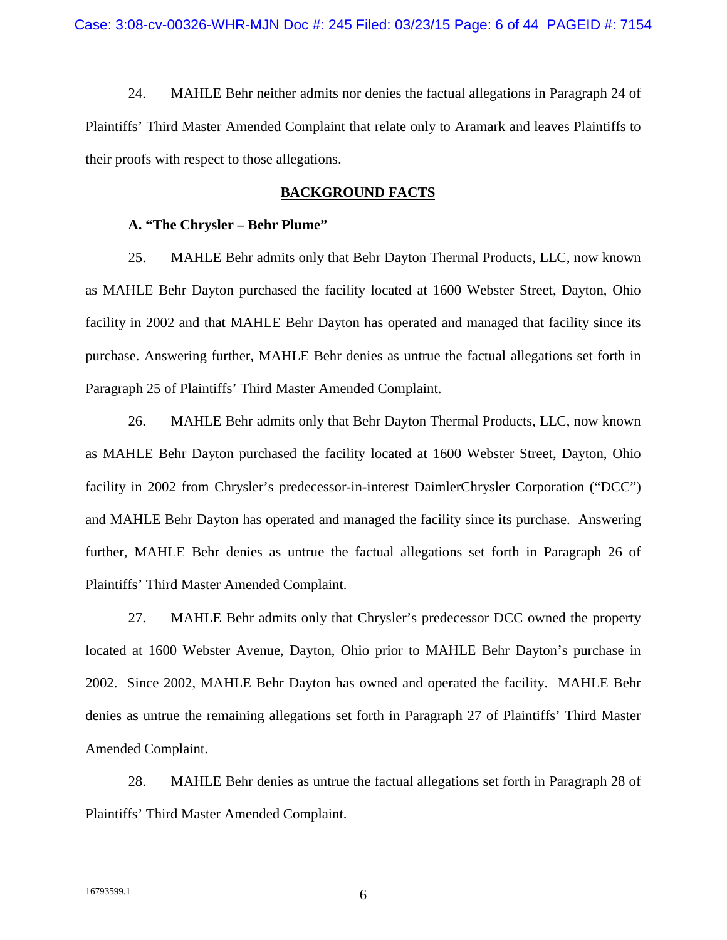24. MAHLE Behr neither admits nor denies the factual allegations in Paragraph 24 of Plaintiffs' Third Master Amended Complaint that relate only to Aramark and leaves Plaintiffs to their proofs with respect to those allegations.

# **BACKGROUND FACTS**

# **A. "The Chrysler – Behr Plume"**

25. MAHLE Behr admits only that Behr Dayton Thermal Products, LLC, now known as MAHLE Behr Dayton purchased the facility located at 1600 Webster Street, Dayton, Ohio facility in 2002 and that MAHLE Behr Dayton has operated and managed that facility since its purchase. Answering further, MAHLE Behr denies as untrue the factual allegations set forth in Paragraph 25 of Plaintiffs' Third Master Amended Complaint.

26. MAHLE Behr admits only that Behr Dayton Thermal Products, LLC, now known as MAHLE Behr Dayton purchased the facility located at 1600 Webster Street, Dayton, Ohio facility in 2002 from Chrysler's predecessor-in-interest DaimlerChrysler Corporation ("DCC") and MAHLE Behr Dayton has operated and managed the facility since its purchase. Answering further, MAHLE Behr denies as untrue the factual allegations set forth in Paragraph 26 of Plaintiffs' Third Master Amended Complaint.

27. MAHLE Behr admits only that Chrysler's predecessor DCC owned the property located at 1600 Webster Avenue, Dayton, Ohio prior to MAHLE Behr Dayton's purchase in 2002. Since 2002, MAHLE Behr Dayton has owned and operated the facility. MAHLE Behr denies as untrue the remaining allegations set forth in Paragraph 27 of Plaintiffs' Third Master Amended Complaint.

28. MAHLE Behr denies as untrue the factual allegations set forth in Paragraph 28 of Plaintiffs' Third Master Amended Complaint.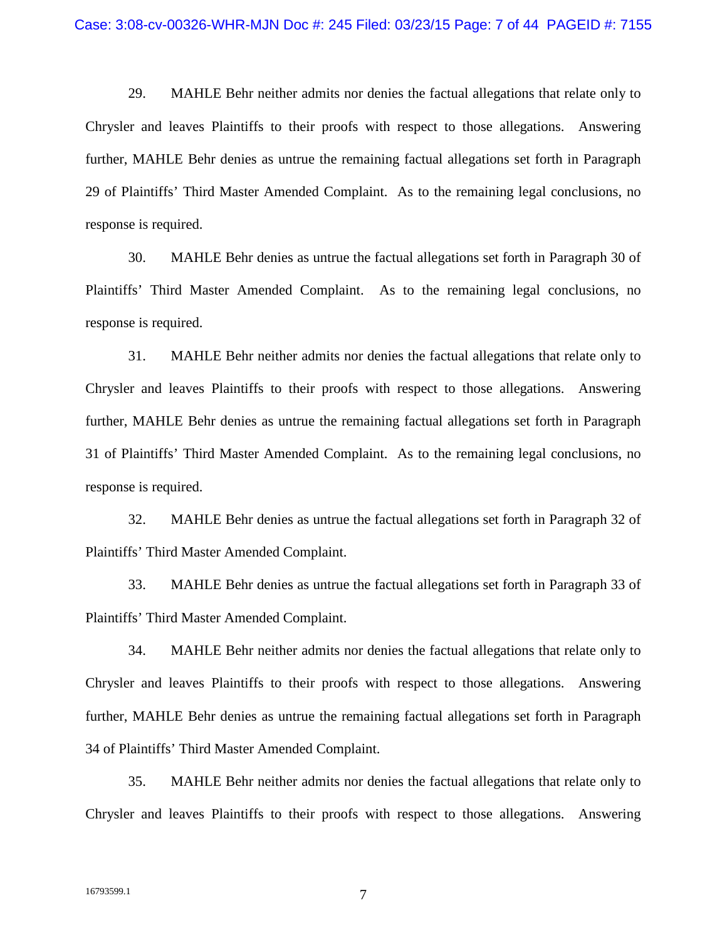29. MAHLE Behr neither admits nor denies the factual allegations that relate only to Chrysler and leaves Plaintiffs to their proofs with respect to those allegations. Answering further, MAHLE Behr denies as untrue the remaining factual allegations set forth in Paragraph 29 of Plaintiffs' Third Master Amended Complaint. As to the remaining legal conclusions, no response is required.

30. MAHLE Behr denies as untrue the factual allegations set forth in Paragraph 30 of Plaintiffs' Third Master Amended Complaint. As to the remaining legal conclusions, no response is required.

31. MAHLE Behr neither admits nor denies the factual allegations that relate only to Chrysler and leaves Plaintiffs to their proofs with respect to those allegations. Answering further, MAHLE Behr denies as untrue the remaining factual allegations set forth in Paragraph 31 of Plaintiffs' Third Master Amended Complaint. As to the remaining legal conclusions, no response is required.

32. MAHLE Behr denies as untrue the factual allegations set forth in Paragraph 32 of Plaintiffs' Third Master Amended Complaint.

33. MAHLE Behr denies as untrue the factual allegations set forth in Paragraph 33 of Plaintiffs' Third Master Amended Complaint.

34. MAHLE Behr neither admits nor denies the factual allegations that relate only to Chrysler and leaves Plaintiffs to their proofs with respect to those allegations. Answering further, MAHLE Behr denies as untrue the remaining factual allegations set forth in Paragraph 34 of Plaintiffs' Third Master Amended Complaint.

35. MAHLE Behr neither admits nor denies the factual allegations that relate only to Chrysler and leaves Plaintiffs to their proofs with respect to those allegations. Answering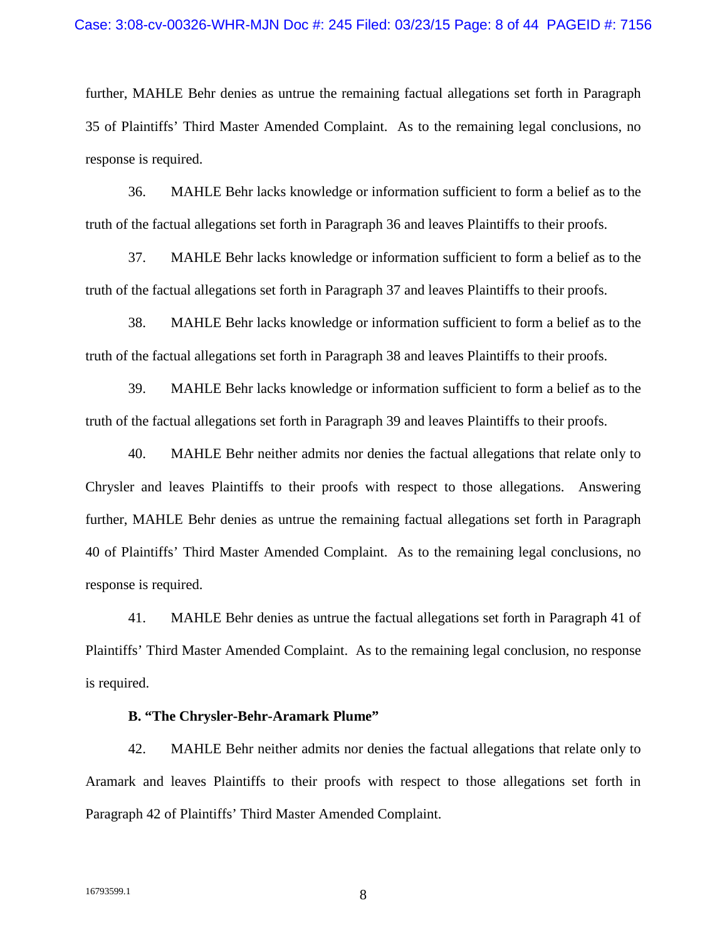further, MAHLE Behr denies as untrue the remaining factual allegations set forth in Paragraph 35 of Plaintiffs' Third Master Amended Complaint. As to the remaining legal conclusions, no response is required.

36. MAHLE Behr lacks knowledge or information sufficient to form a belief as to the truth of the factual allegations set forth in Paragraph 36 and leaves Plaintiffs to their proofs.

37. MAHLE Behr lacks knowledge or information sufficient to form a belief as to the truth of the factual allegations set forth in Paragraph 37 and leaves Plaintiffs to their proofs.

38. MAHLE Behr lacks knowledge or information sufficient to form a belief as to the truth of the factual allegations set forth in Paragraph 38 and leaves Plaintiffs to their proofs.

39. MAHLE Behr lacks knowledge or information sufficient to form a belief as to the truth of the factual allegations set forth in Paragraph 39 and leaves Plaintiffs to their proofs.

40. MAHLE Behr neither admits nor denies the factual allegations that relate only to Chrysler and leaves Plaintiffs to their proofs with respect to those allegations. Answering further, MAHLE Behr denies as untrue the remaining factual allegations set forth in Paragraph 40 of Plaintiffs' Third Master Amended Complaint. As to the remaining legal conclusions, no response is required.

41. MAHLE Behr denies as untrue the factual allegations set forth in Paragraph 41 of Plaintiffs' Third Master Amended Complaint. As to the remaining legal conclusion, no response is required.

# **B. "The Chrysler-Behr-Aramark Plume"**

42. MAHLE Behr neither admits nor denies the factual allegations that relate only to Aramark and leaves Plaintiffs to their proofs with respect to those allegations set forth in Paragraph 42 of Plaintiffs' Third Master Amended Complaint.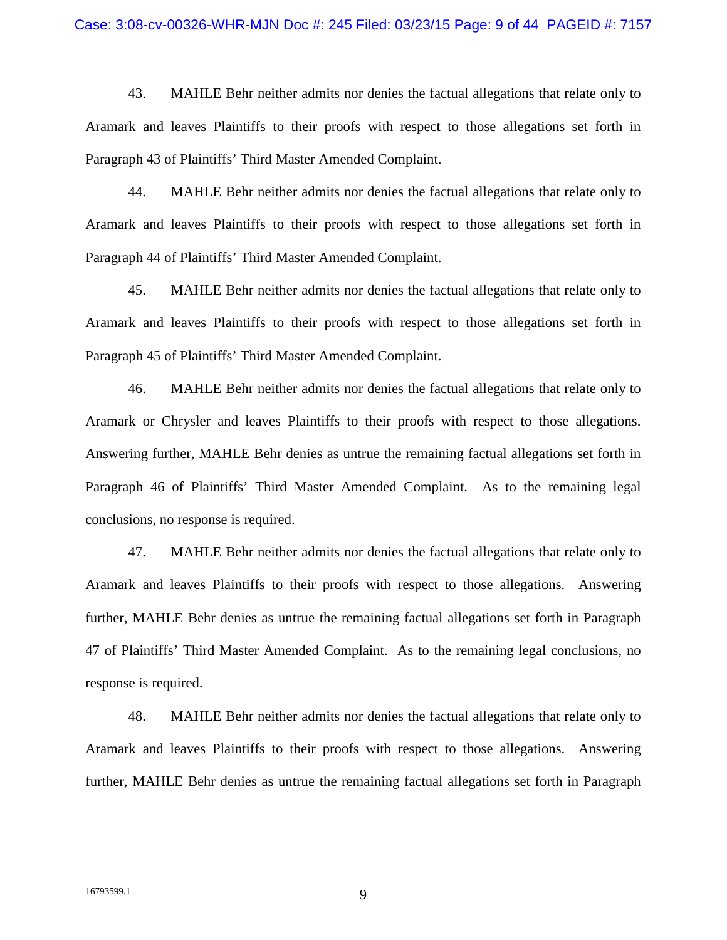#### Case: 3:08-cv-00326-WHR-MJN Doc #: 245 Filed: 03/23/15 Page: 9 of 44 PAGEID #: 7157

43. MAHLE Behr neither admits nor denies the factual allegations that relate only to Aramark and leaves Plaintiffs to their proofs with respect to those allegations set forth in Paragraph 43 of Plaintiffs' Third Master Amended Complaint.

44. MAHLE Behr neither admits nor denies the factual allegations that relate only to Aramark and leaves Plaintiffs to their proofs with respect to those allegations set forth in Paragraph 44 of Plaintiffs' Third Master Amended Complaint.

45. MAHLE Behr neither admits nor denies the factual allegations that relate only to Aramark and leaves Plaintiffs to their proofs with respect to those allegations set forth in Paragraph 45 of Plaintiffs' Third Master Amended Complaint.

46. MAHLE Behr neither admits nor denies the factual allegations that relate only to Aramark or Chrysler and leaves Plaintiffs to their proofs with respect to those allegations. Answering further, MAHLE Behr denies as untrue the remaining factual allegations set forth in Paragraph 46 of Plaintiffs' Third Master Amended Complaint. As to the remaining legal conclusions, no response is required.

47. MAHLE Behr neither admits nor denies the factual allegations that relate only to Aramark and leaves Plaintiffs to their proofs with respect to those allegations. Answering further, MAHLE Behr denies as untrue the remaining factual allegations set forth in Paragraph 47 of Plaintiffs' Third Master Amended Complaint. As to the remaining legal conclusions, no response is required.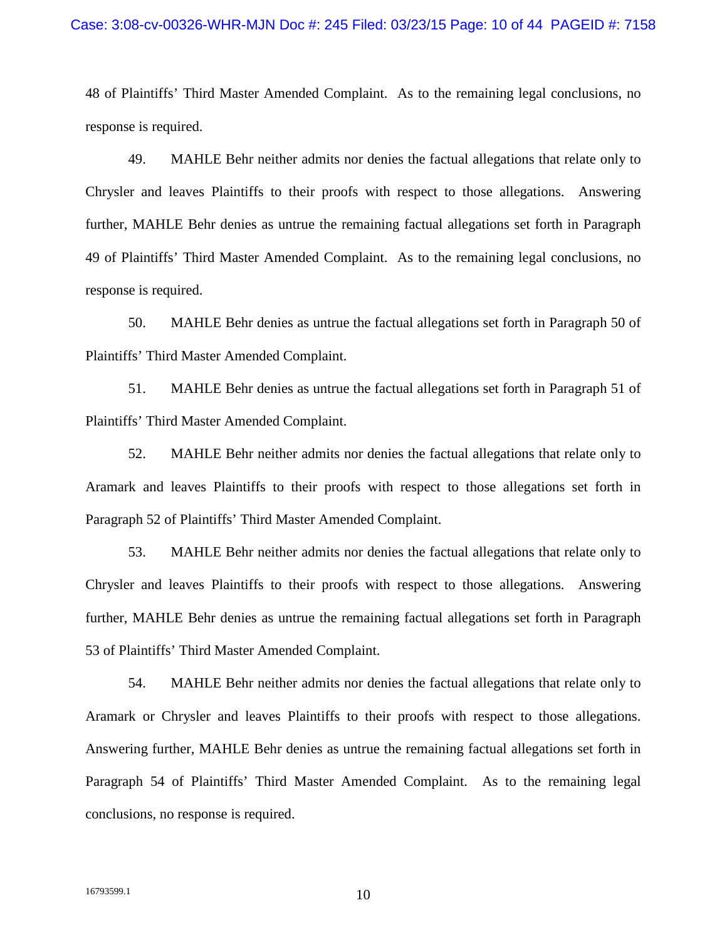#### Case: 3:08-cv-00326-WHR-MJN Doc #: 245 Filed: 03/23/15 Page: 10 of 44 PAGEID #: 7158

48 of Plaintiffs' Third Master Amended Complaint. As to the remaining legal conclusions, no response is required.

49. MAHLE Behr neither admits nor denies the factual allegations that relate only to Chrysler and leaves Plaintiffs to their proofs with respect to those allegations. Answering further, MAHLE Behr denies as untrue the remaining factual allegations set forth in Paragraph 49 of Plaintiffs' Third Master Amended Complaint. As to the remaining legal conclusions, no response is required.

50. MAHLE Behr denies as untrue the factual allegations set forth in Paragraph 50 of Plaintiffs' Third Master Amended Complaint.

51. MAHLE Behr denies as untrue the factual allegations set forth in Paragraph 51 of Plaintiffs' Third Master Amended Complaint.

52. MAHLE Behr neither admits nor denies the factual allegations that relate only to Aramark and leaves Plaintiffs to their proofs with respect to those allegations set forth in Paragraph 52 of Plaintiffs' Third Master Amended Complaint.

53. MAHLE Behr neither admits nor denies the factual allegations that relate only to Chrysler and leaves Plaintiffs to their proofs with respect to those allegations. Answering further, MAHLE Behr denies as untrue the remaining factual allegations set forth in Paragraph 53 of Plaintiffs' Third Master Amended Complaint.

54. MAHLE Behr neither admits nor denies the factual allegations that relate only to Aramark or Chrysler and leaves Plaintiffs to their proofs with respect to those allegations. Answering further, MAHLE Behr denies as untrue the remaining factual allegations set forth in Paragraph 54 of Plaintiffs' Third Master Amended Complaint. As to the remaining legal conclusions, no response is required.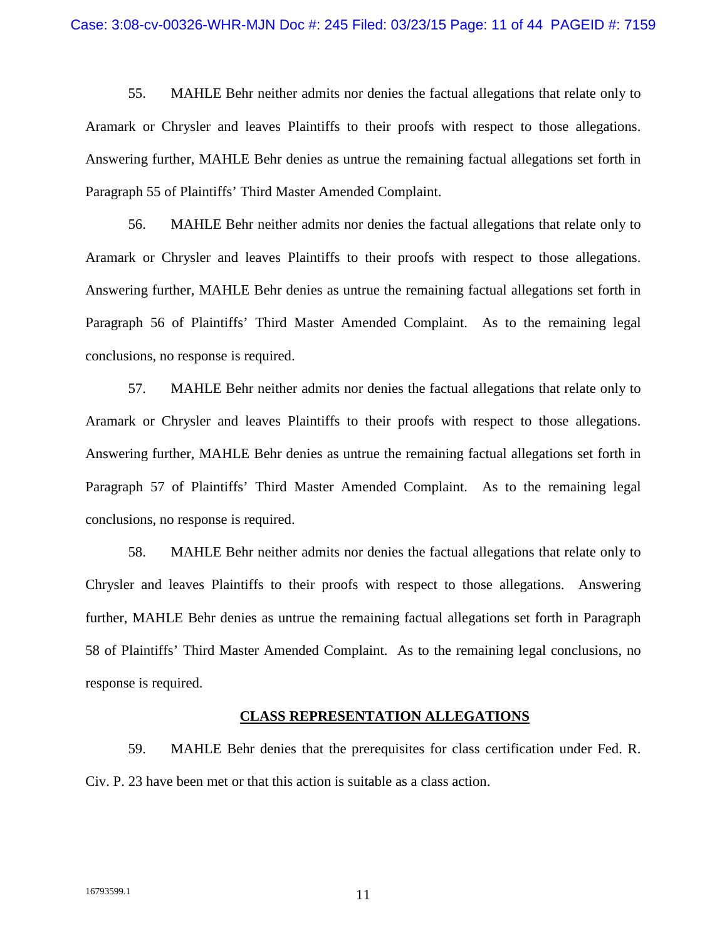55. MAHLE Behr neither admits nor denies the factual allegations that relate only to Aramark or Chrysler and leaves Plaintiffs to their proofs with respect to those allegations. Answering further, MAHLE Behr denies as untrue the remaining factual allegations set forth in Paragraph 55 of Plaintiffs' Third Master Amended Complaint.

56. MAHLE Behr neither admits nor denies the factual allegations that relate only to Aramark or Chrysler and leaves Plaintiffs to their proofs with respect to those allegations. Answering further, MAHLE Behr denies as untrue the remaining factual allegations set forth in Paragraph 56 of Plaintiffs' Third Master Amended Complaint. As to the remaining legal conclusions, no response is required.

57. MAHLE Behr neither admits nor denies the factual allegations that relate only to Aramark or Chrysler and leaves Plaintiffs to their proofs with respect to those allegations. Answering further, MAHLE Behr denies as untrue the remaining factual allegations set forth in Paragraph 57 of Plaintiffs' Third Master Amended Complaint. As to the remaining legal conclusions, no response is required.

58. MAHLE Behr neither admits nor denies the factual allegations that relate only to Chrysler and leaves Plaintiffs to their proofs with respect to those allegations. Answering further, MAHLE Behr denies as untrue the remaining factual allegations set forth in Paragraph 58 of Plaintiffs' Third Master Amended Complaint. As to the remaining legal conclusions, no response is required.

## **CLASS REPRESENTATION ALLEGATIONS**

59. MAHLE Behr denies that the prerequisites for class certification under Fed. R. Civ. P. 23 have been met or that this action is suitable as a class action.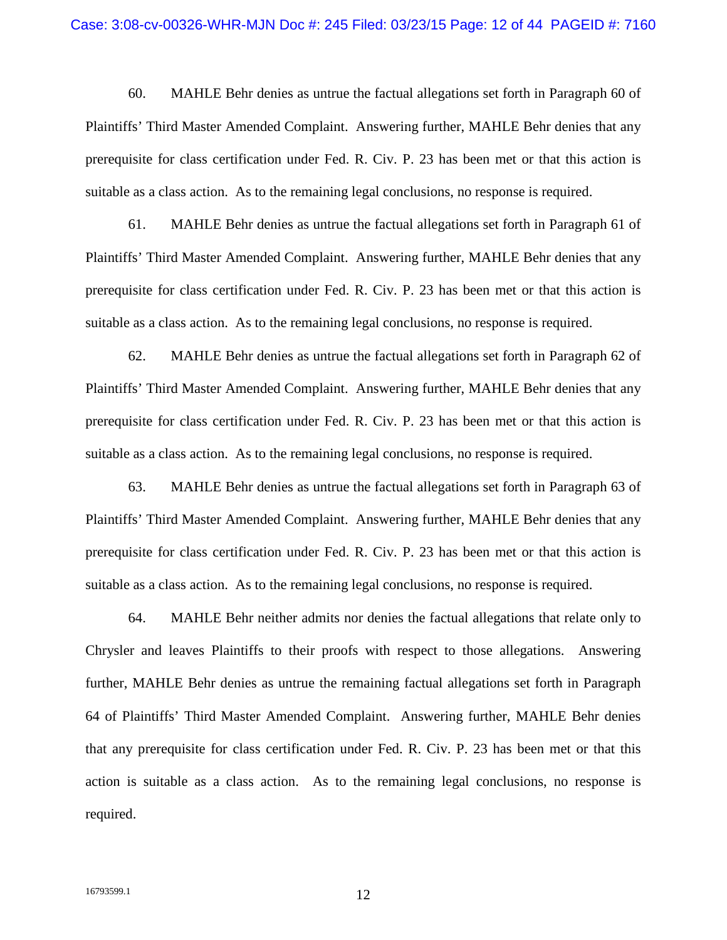#### Case: 3:08-cv-00326-WHR-MJN Doc #: 245 Filed: 03/23/15 Page: 12 of 44 PAGEID #: 7160

60. MAHLE Behr denies as untrue the factual allegations set forth in Paragraph 60 of Plaintiffs' Third Master Amended Complaint. Answering further, MAHLE Behr denies that any prerequisite for class certification under Fed. R. Civ. P. 23 has been met or that this action is suitable as a class action. As to the remaining legal conclusions, no response is required.

61. MAHLE Behr denies as untrue the factual allegations set forth in Paragraph 61 of Plaintiffs' Third Master Amended Complaint. Answering further, MAHLE Behr denies that any prerequisite for class certification under Fed. R. Civ. P. 23 has been met or that this action is suitable as a class action. As to the remaining legal conclusions, no response is required.

62. MAHLE Behr denies as untrue the factual allegations set forth in Paragraph 62 of Plaintiffs' Third Master Amended Complaint. Answering further, MAHLE Behr denies that any prerequisite for class certification under Fed. R. Civ. P. 23 has been met or that this action is suitable as a class action. As to the remaining legal conclusions, no response is required.

63. MAHLE Behr denies as untrue the factual allegations set forth in Paragraph 63 of Plaintiffs' Third Master Amended Complaint. Answering further, MAHLE Behr denies that any prerequisite for class certification under Fed. R. Civ. P. 23 has been met or that this action is suitable as a class action. As to the remaining legal conclusions, no response is required.

64. MAHLE Behr neither admits nor denies the factual allegations that relate only to Chrysler and leaves Plaintiffs to their proofs with respect to those allegations. Answering further, MAHLE Behr denies as untrue the remaining factual allegations set forth in Paragraph 64 of Plaintiffs' Third Master Amended Complaint. Answering further, MAHLE Behr denies that any prerequisite for class certification under Fed. R. Civ. P. 23 has been met or that this action is suitable as a class action. As to the remaining legal conclusions, no response is required.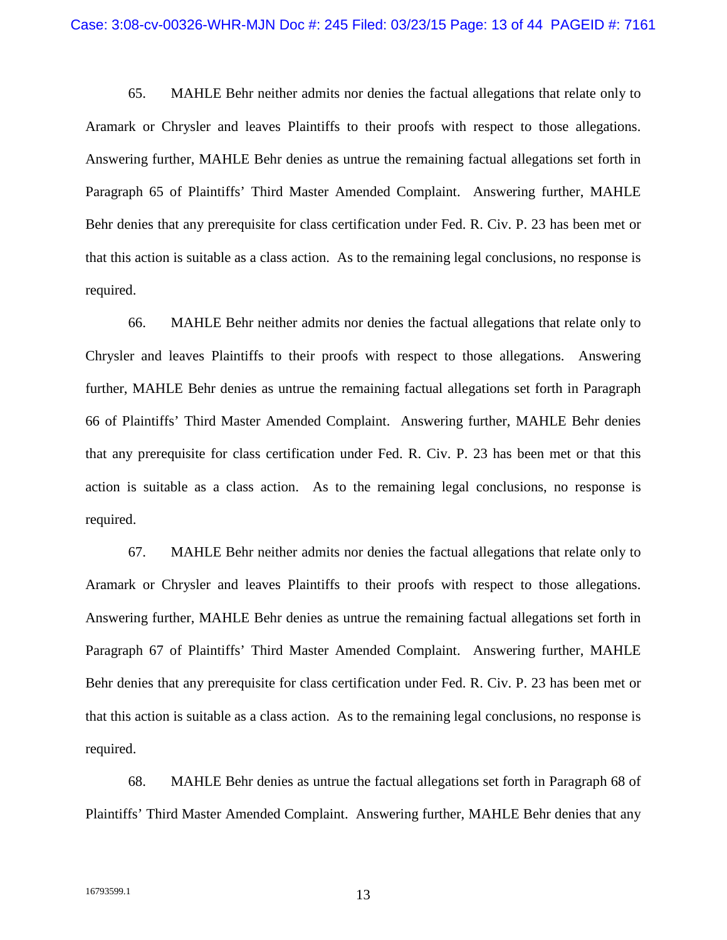65. MAHLE Behr neither admits nor denies the factual allegations that relate only to Aramark or Chrysler and leaves Plaintiffs to their proofs with respect to those allegations. Answering further, MAHLE Behr denies as untrue the remaining factual allegations set forth in Paragraph 65 of Plaintiffs' Third Master Amended Complaint. Answering further, MAHLE Behr denies that any prerequisite for class certification under Fed. R. Civ. P. 23 has been met or that this action is suitable as a class action. As to the remaining legal conclusions, no response is required.

66. MAHLE Behr neither admits nor denies the factual allegations that relate only to Chrysler and leaves Plaintiffs to their proofs with respect to those allegations. Answering further, MAHLE Behr denies as untrue the remaining factual allegations set forth in Paragraph 66 of Plaintiffs' Third Master Amended Complaint. Answering further, MAHLE Behr denies that any prerequisite for class certification under Fed. R. Civ. P. 23 has been met or that this action is suitable as a class action. As to the remaining legal conclusions, no response is required.

67. MAHLE Behr neither admits nor denies the factual allegations that relate only to Aramark or Chrysler and leaves Plaintiffs to their proofs with respect to those allegations. Answering further, MAHLE Behr denies as untrue the remaining factual allegations set forth in Paragraph 67 of Plaintiffs' Third Master Amended Complaint. Answering further, MAHLE Behr denies that any prerequisite for class certification under Fed. R. Civ. P. 23 has been met or that this action is suitable as a class action. As to the remaining legal conclusions, no response is required.

68. MAHLE Behr denies as untrue the factual allegations set forth in Paragraph 68 of Plaintiffs' Third Master Amended Complaint. Answering further, MAHLE Behr denies that any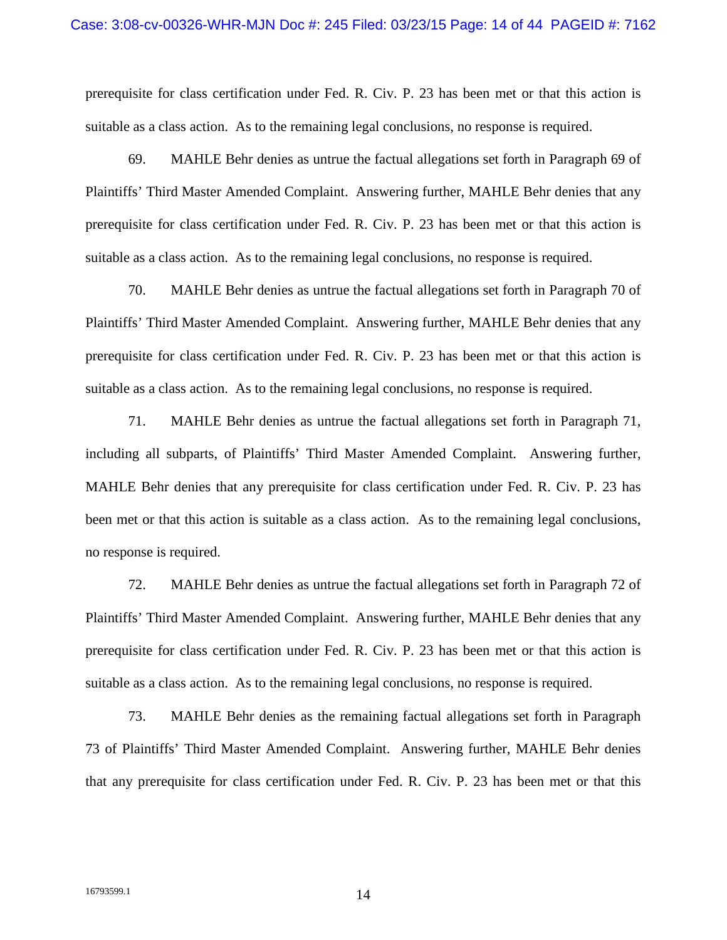prerequisite for class certification under Fed. R. Civ. P. 23 has been met or that this action is suitable as a class action. As to the remaining legal conclusions, no response is required.

69. MAHLE Behr denies as untrue the factual allegations set forth in Paragraph 69 of Plaintiffs' Third Master Amended Complaint. Answering further, MAHLE Behr denies that any prerequisite for class certification under Fed. R. Civ. P. 23 has been met or that this action is suitable as a class action. As to the remaining legal conclusions, no response is required.

70. MAHLE Behr denies as untrue the factual allegations set forth in Paragraph 70 of Plaintiffs' Third Master Amended Complaint. Answering further, MAHLE Behr denies that any prerequisite for class certification under Fed. R. Civ. P. 23 has been met or that this action is suitable as a class action. As to the remaining legal conclusions, no response is required.

71. MAHLE Behr denies as untrue the factual allegations set forth in Paragraph 71, including all subparts, of Plaintiffs' Third Master Amended Complaint. Answering further, MAHLE Behr denies that any prerequisite for class certification under Fed. R. Civ. P. 23 has been met or that this action is suitable as a class action. As to the remaining legal conclusions, no response is required.

72. MAHLE Behr denies as untrue the factual allegations set forth in Paragraph 72 of Plaintiffs' Third Master Amended Complaint. Answering further, MAHLE Behr denies that any prerequisite for class certification under Fed. R. Civ. P. 23 has been met or that this action is suitable as a class action. As to the remaining legal conclusions, no response is required.

73. MAHLE Behr denies as the remaining factual allegations set forth in Paragraph 73 of Plaintiffs' Third Master Amended Complaint. Answering further, MAHLE Behr denies that any prerequisite for class certification under Fed. R. Civ. P. 23 has been met or that this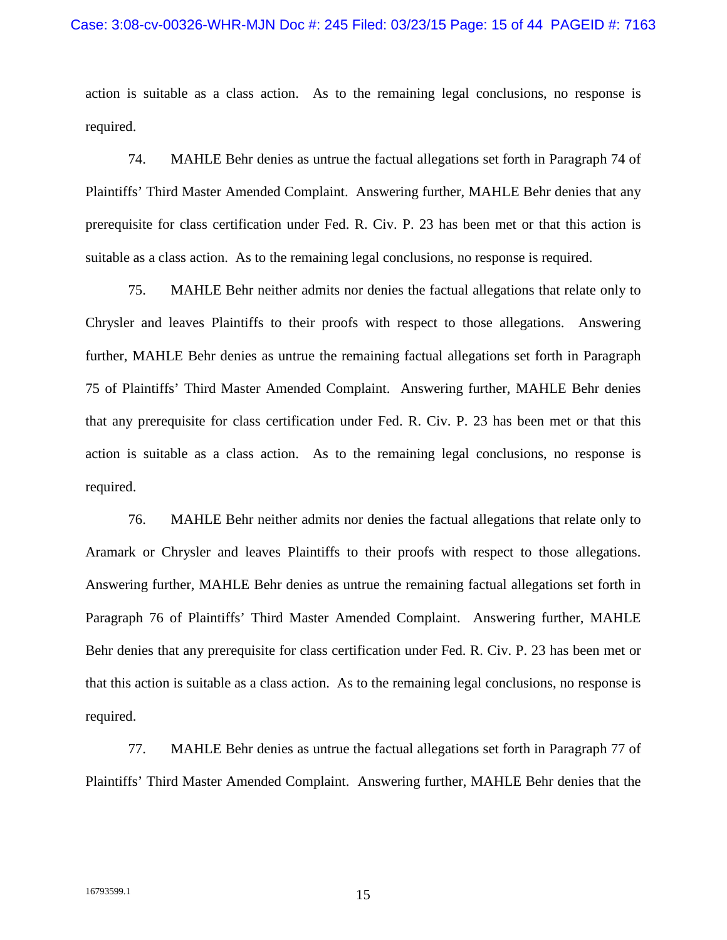#### Case: 3:08-cv-00326-WHR-MJN Doc #: 245 Filed: 03/23/15 Page: 15 of 44 PAGEID #: 7163

action is suitable as a class action. As to the remaining legal conclusions, no response is required.

74. MAHLE Behr denies as untrue the factual allegations set forth in Paragraph 74 of Plaintiffs' Third Master Amended Complaint. Answering further, MAHLE Behr denies that any prerequisite for class certification under Fed. R. Civ. P. 23 has been met or that this action is suitable as a class action. As to the remaining legal conclusions, no response is required.

75. MAHLE Behr neither admits nor denies the factual allegations that relate only to Chrysler and leaves Plaintiffs to their proofs with respect to those allegations. Answering further, MAHLE Behr denies as untrue the remaining factual allegations set forth in Paragraph 75 of Plaintiffs' Third Master Amended Complaint. Answering further, MAHLE Behr denies that any prerequisite for class certification under Fed. R. Civ. P. 23 has been met or that this action is suitable as a class action. As to the remaining legal conclusions, no response is required.

76. MAHLE Behr neither admits nor denies the factual allegations that relate only to Aramark or Chrysler and leaves Plaintiffs to their proofs with respect to those allegations. Answering further, MAHLE Behr denies as untrue the remaining factual allegations set forth in Paragraph 76 of Plaintiffs' Third Master Amended Complaint. Answering further, MAHLE Behr denies that any prerequisite for class certification under Fed. R. Civ. P. 23 has been met or that this action is suitable as a class action. As to the remaining legal conclusions, no response is required.

77. MAHLE Behr denies as untrue the factual allegations set forth in Paragraph 77 of Plaintiffs' Third Master Amended Complaint. Answering further, MAHLE Behr denies that the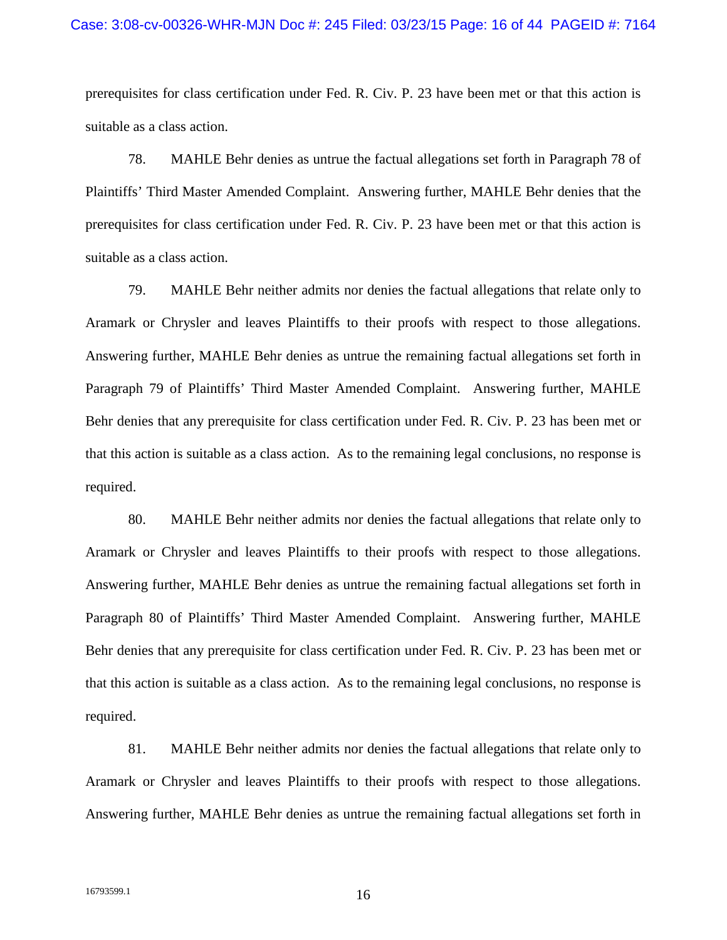#### Case: 3:08-cv-00326-WHR-MJN Doc #: 245 Filed: 03/23/15 Page: 16 of 44 PAGEID #: 7164

prerequisites for class certification under Fed. R. Civ. P. 23 have been met or that this action is suitable as a class action.

78. MAHLE Behr denies as untrue the factual allegations set forth in Paragraph 78 of Plaintiffs' Third Master Amended Complaint. Answering further, MAHLE Behr denies that the prerequisites for class certification under Fed. R. Civ. P. 23 have been met or that this action is suitable as a class action.

79. MAHLE Behr neither admits nor denies the factual allegations that relate only to Aramark or Chrysler and leaves Plaintiffs to their proofs with respect to those allegations. Answering further, MAHLE Behr denies as untrue the remaining factual allegations set forth in Paragraph 79 of Plaintiffs' Third Master Amended Complaint. Answering further, MAHLE Behr denies that any prerequisite for class certification under Fed. R. Civ. P. 23 has been met or that this action is suitable as a class action. As to the remaining legal conclusions, no response is required.

80. MAHLE Behr neither admits nor denies the factual allegations that relate only to Aramark or Chrysler and leaves Plaintiffs to their proofs with respect to those allegations. Answering further, MAHLE Behr denies as untrue the remaining factual allegations set forth in Paragraph 80 of Plaintiffs' Third Master Amended Complaint. Answering further, MAHLE Behr denies that any prerequisite for class certification under Fed. R. Civ. P. 23 has been met or that this action is suitable as a class action. As to the remaining legal conclusions, no response is required.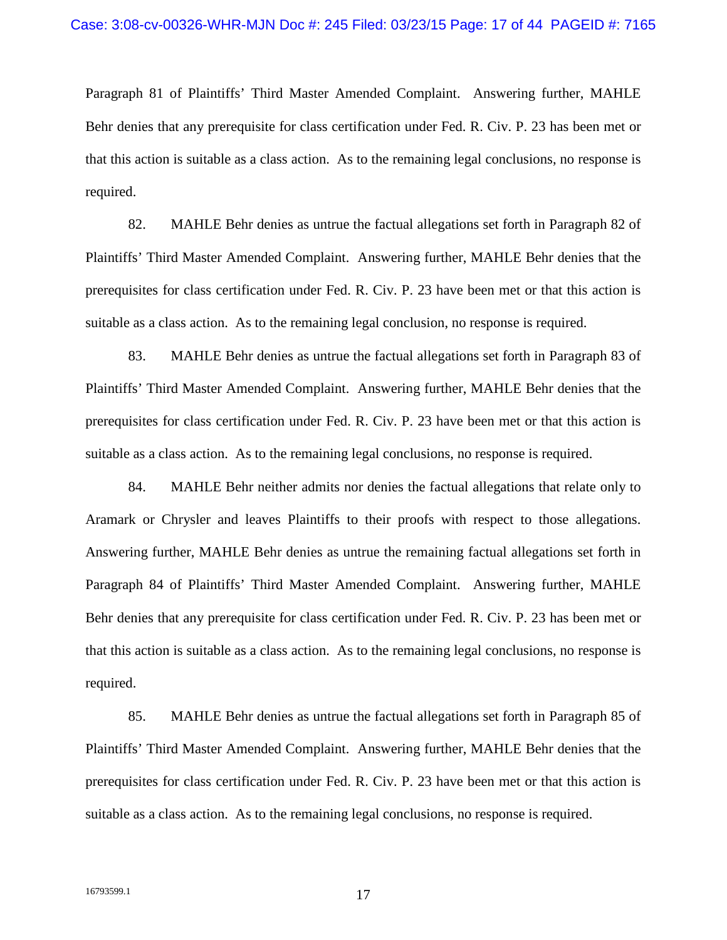Paragraph 81 of Plaintiffs' Third Master Amended Complaint. Answering further, MAHLE Behr denies that any prerequisite for class certification under Fed. R. Civ. P. 23 has been met or that this action is suitable as a class action. As to the remaining legal conclusions, no response is required.

82. MAHLE Behr denies as untrue the factual allegations set forth in Paragraph 82 of Plaintiffs' Third Master Amended Complaint. Answering further, MAHLE Behr denies that the prerequisites for class certification under Fed. R. Civ. P. 23 have been met or that this action is suitable as a class action. As to the remaining legal conclusion, no response is required.

83. MAHLE Behr denies as untrue the factual allegations set forth in Paragraph 83 of Plaintiffs' Third Master Amended Complaint. Answering further, MAHLE Behr denies that the prerequisites for class certification under Fed. R. Civ. P. 23 have been met or that this action is suitable as a class action. As to the remaining legal conclusions, no response is required.

84. MAHLE Behr neither admits nor denies the factual allegations that relate only to Aramark or Chrysler and leaves Plaintiffs to their proofs with respect to those allegations. Answering further, MAHLE Behr denies as untrue the remaining factual allegations set forth in Paragraph 84 of Plaintiffs' Third Master Amended Complaint. Answering further, MAHLE Behr denies that any prerequisite for class certification under Fed. R. Civ. P. 23 has been met or that this action is suitable as a class action. As to the remaining legal conclusions, no response is required.

85. MAHLE Behr denies as untrue the factual allegations set forth in Paragraph 85 of Plaintiffs' Third Master Amended Complaint. Answering further, MAHLE Behr denies that the prerequisites for class certification under Fed. R. Civ. P. 23 have been met or that this action is suitable as a class action. As to the remaining legal conclusions, no response is required.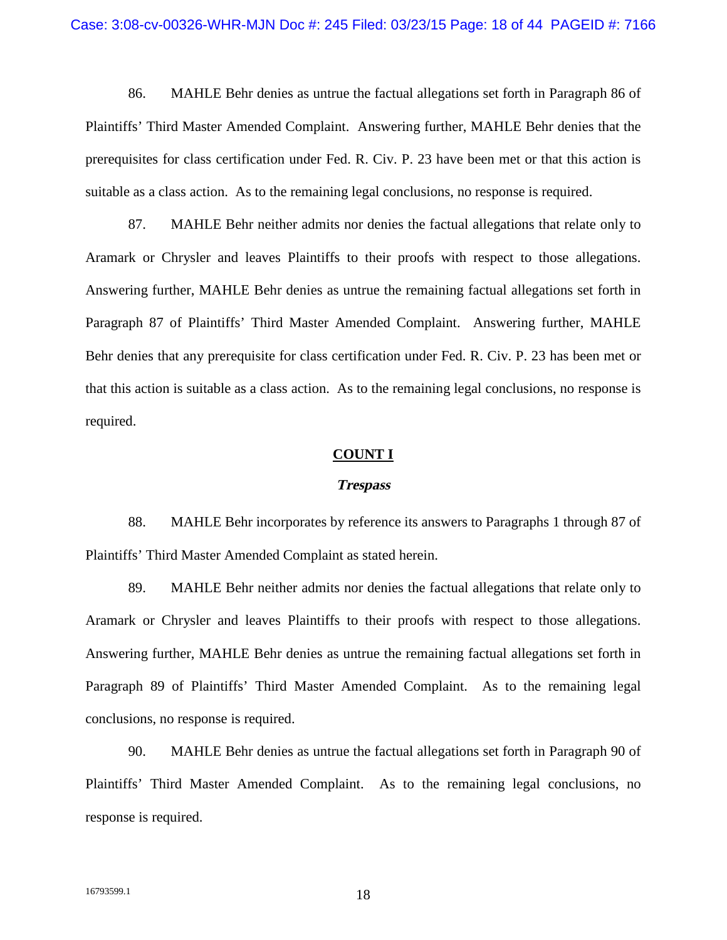86. MAHLE Behr denies as untrue the factual allegations set forth in Paragraph 86 of Plaintiffs' Third Master Amended Complaint. Answering further, MAHLE Behr denies that the prerequisites for class certification under Fed. R. Civ. P. 23 have been met or that this action is suitable as a class action. As to the remaining legal conclusions, no response is required.

87. MAHLE Behr neither admits nor denies the factual allegations that relate only to Aramark or Chrysler and leaves Plaintiffs to their proofs with respect to those allegations. Answering further, MAHLE Behr denies as untrue the remaining factual allegations set forth in Paragraph 87 of Plaintiffs' Third Master Amended Complaint. Answering further, MAHLE Behr denies that any prerequisite for class certification under Fed. R. Civ. P. 23 has been met or that this action is suitable as a class action. As to the remaining legal conclusions, no response is required.

## **COUNT I**

#### **Trespass**

88. MAHLE Behr incorporates by reference its answers to Paragraphs 1 through 87 of Plaintiffs' Third Master Amended Complaint as stated herein.

89. MAHLE Behr neither admits nor denies the factual allegations that relate only to Aramark or Chrysler and leaves Plaintiffs to their proofs with respect to those allegations. Answering further, MAHLE Behr denies as untrue the remaining factual allegations set forth in Paragraph 89 of Plaintiffs' Third Master Amended Complaint. As to the remaining legal conclusions, no response is required.

90. MAHLE Behr denies as untrue the factual allegations set forth in Paragraph 90 of Plaintiffs' Third Master Amended Complaint. As to the remaining legal conclusions, no response is required.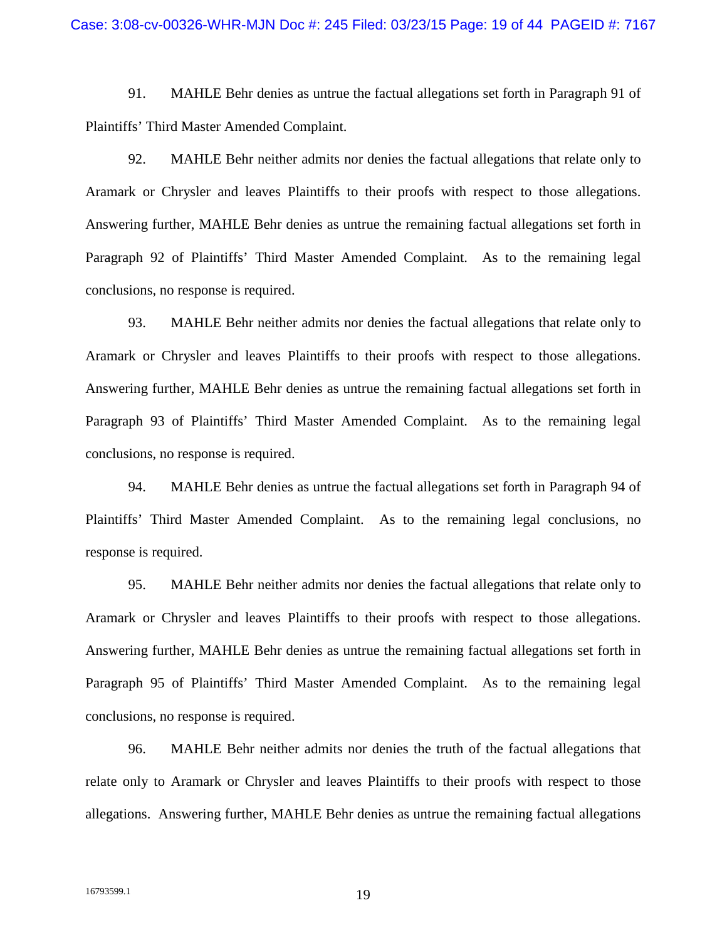91. MAHLE Behr denies as untrue the factual allegations set forth in Paragraph 91 of Plaintiffs' Third Master Amended Complaint.

92. MAHLE Behr neither admits nor denies the factual allegations that relate only to Aramark or Chrysler and leaves Plaintiffs to their proofs with respect to those allegations. Answering further, MAHLE Behr denies as untrue the remaining factual allegations set forth in Paragraph 92 of Plaintiffs' Third Master Amended Complaint. As to the remaining legal conclusions, no response is required.

93. MAHLE Behr neither admits nor denies the factual allegations that relate only to Aramark or Chrysler and leaves Plaintiffs to their proofs with respect to those allegations. Answering further, MAHLE Behr denies as untrue the remaining factual allegations set forth in Paragraph 93 of Plaintiffs' Third Master Amended Complaint. As to the remaining legal conclusions, no response is required.

94. MAHLE Behr denies as untrue the factual allegations set forth in Paragraph 94 of Plaintiffs' Third Master Amended Complaint. As to the remaining legal conclusions, no response is required.

95. MAHLE Behr neither admits nor denies the factual allegations that relate only to Aramark or Chrysler and leaves Plaintiffs to their proofs with respect to those allegations. Answering further, MAHLE Behr denies as untrue the remaining factual allegations set forth in Paragraph 95 of Plaintiffs' Third Master Amended Complaint. As to the remaining legal conclusions, no response is required.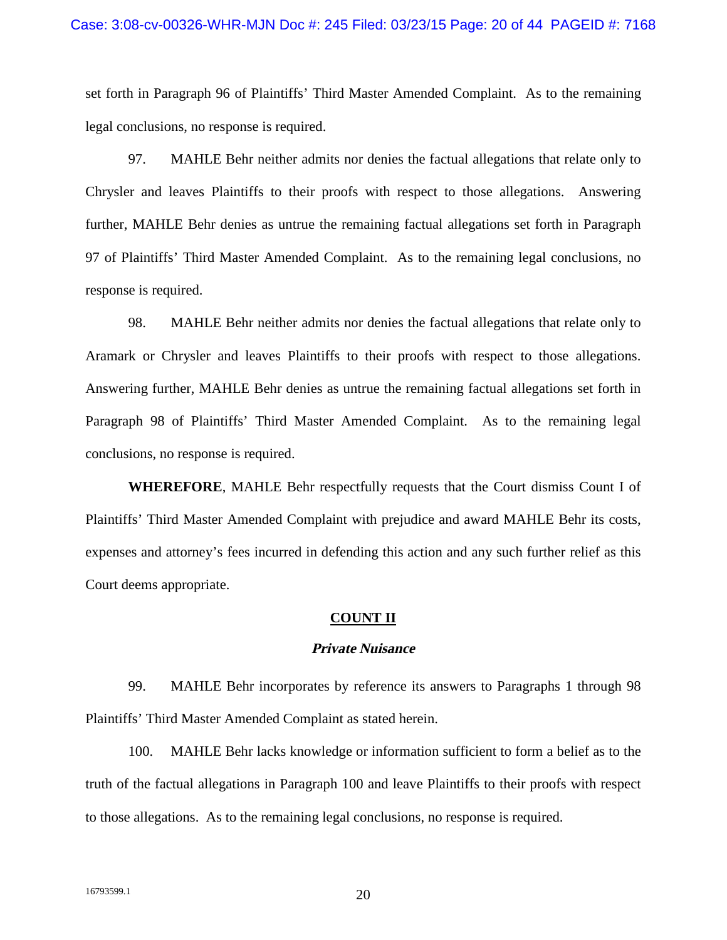### Case: 3:08-cv-00326-WHR-MJN Doc #: 245 Filed: 03/23/15 Page: 20 of 44 PAGEID #: 7168

set forth in Paragraph 96 of Plaintiffs' Third Master Amended Complaint. As to the remaining legal conclusions, no response is required.

97. MAHLE Behr neither admits nor denies the factual allegations that relate only to Chrysler and leaves Plaintiffs to their proofs with respect to those allegations. Answering further, MAHLE Behr denies as untrue the remaining factual allegations set forth in Paragraph 97 of Plaintiffs' Third Master Amended Complaint. As to the remaining legal conclusions, no response is required.

98. MAHLE Behr neither admits nor denies the factual allegations that relate only to Aramark or Chrysler and leaves Plaintiffs to their proofs with respect to those allegations. Answering further, MAHLE Behr denies as untrue the remaining factual allegations set forth in Paragraph 98 of Plaintiffs' Third Master Amended Complaint. As to the remaining legal conclusions, no response is required.

**WHEREFORE**, MAHLE Behr respectfully requests that the Court dismiss Count I of Plaintiffs' Third Master Amended Complaint with prejudice and award MAHLE Behr its costs, expenses and attorney's fees incurred in defending this action and any such further relief as this Court deems appropriate.

## **COUNT II**

### **Private Nuisance**

99. MAHLE Behr incorporates by reference its answers to Paragraphs 1 through 98 Plaintiffs' Third Master Amended Complaint as stated herein.

100. MAHLE Behr lacks knowledge or information sufficient to form a belief as to the truth of the factual allegations in Paragraph 100 and leave Plaintiffs to their proofs with respect to those allegations. As to the remaining legal conclusions, no response is required.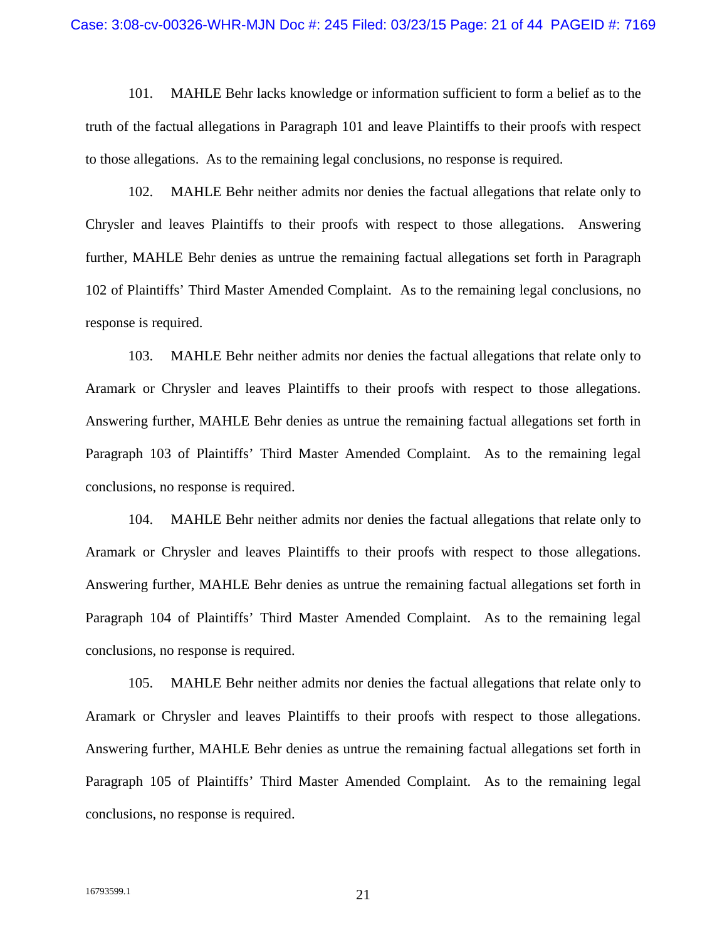#### Case: 3:08-cv-00326-WHR-MJN Doc #: 245 Filed: 03/23/15 Page: 21 of 44 PAGEID #: 7169

101. MAHLE Behr lacks knowledge or information sufficient to form a belief as to the truth of the factual allegations in Paragraph 101 and leave Plaintiffs to their proofs with respect to those allegations. As to the remaining legal conclusions, no response is required.

102. MAHLE Behr neither admits nor denies the factual allegations that relate only to Chrysler and leaves Plaintiffs to their proofs with respect to those allegations. Answering further, MAHLE Behr denies as untrue the remaining factual allegations set forth in Paragraph 102 of Plaintiffs' Third Master Amended Complaint. As to the remaining legal conclusions, no response is required.

103. MAHLE Behr neither admits nor denies the factual allegations that relate only to Aramark or Chrysler and leaves Plaintiffs to their proofs with respect to those allegations. Answering further, MAHLE Behr denies as untrue the remaining factual allegations set forth in Paragraph 103 of Plaintiffs' Third Master Amended Complaint. As to the remaining legal conclusions, no response is required.

104. MAHLE Behr neither admits nor denies the factual allegations that relate only to Aramark or Chrysler and leaves Plaintiffs to their proofs with respect to those allegations. Answering further, MAHLE Behr denies as untrue the remaining factual allegations set forth in Paragraph 104 of Plaintiffs' Third Master Amended Complaint. As to the remaining legal conclusions, no response is required.

105. MAHLE Behr neither admits nor denies the factual allegations that relate only to Aramark or Chrysler and leaves Plaintiffs to their proofs with respect to those allegations. Answering further, MAHLE Behr denies as untrue the remaining factual allegations set forth in Paragraph 105 of Plaintiffs' Third Master Amended Complaint. As to the remaining legal conclusions, no response is required.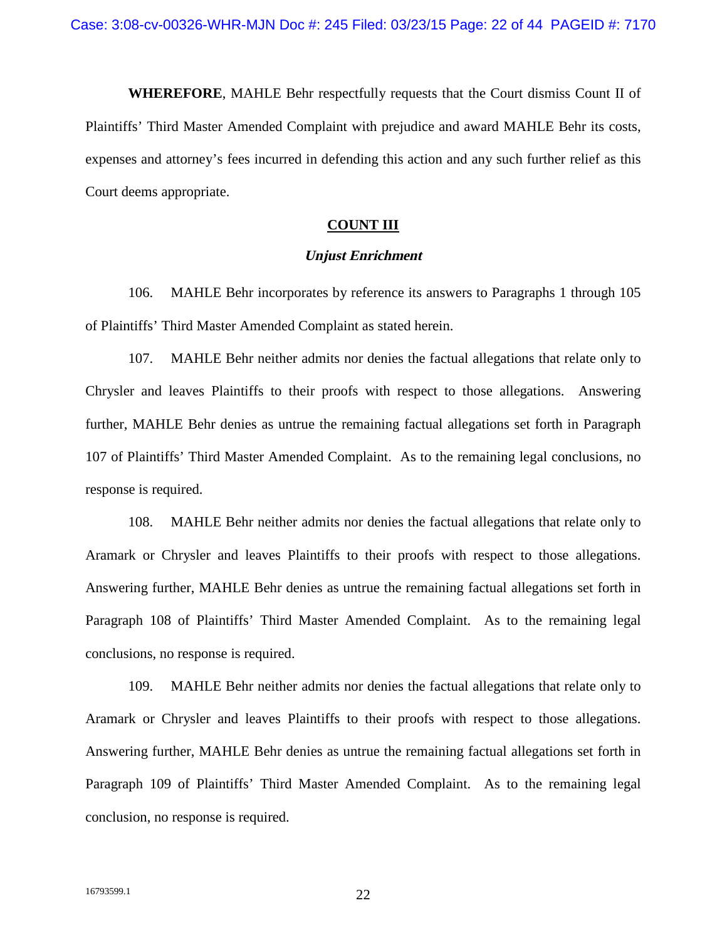**WHEREFORE**, MAHLE Behr respectfully requests that the Court dismiss Count II of Plaintiffs' Third Master Amended Complaint with prejudice and award MAHLE Behr its costs, expenses and attorney's fees incurred in defending this action and any such further relief as this Court deems appropriate.

# **COUNT III**

# **Unjust Enrichment**

106. MAHLE Behr incorporates by reference its answers to Paragraphs 1 through 105 of Plaintiffs' Third Master Amended Complaint as stated herein.

107. MAHLE Behr neither admits nor denies the factual allegations that relate only to Chrysler and leaves Plaintiffs to their proofs with respect to those allegations. Answering further, MAHLE Behr denies as untrue the remaining factual allegations set forth in Paragraph 107 of Plaintiffs' Third Master Amended Complaint. As to the remaining legal conclusions, no response is required.

108. MAHLE Behr neither admits nor denies the factual allegations that relate only to Aramark or Chrysler and leaves Plaintiffs to their proofs with respect to those allegations. Answering further, MAHLE Behr denies as untrue the remaining factual allegations set forth in Paragraph 108 of Plaintiffs' Third Master Amended Complaint. As to the remaining legal conclusions, no response is required.

109. MAHLE Behr neither admits nor denies the factual allegations that relate only to Aramark or Chrysler and leaves Plaintiffs to their proofs with respect to those allegations. Answering further, MAHLE Behr denies as untrue the remaining factual allegations set forth in Paragraph 109 of Plaintiffs' Third Master Amended Complaint. As to the remaining legal conclusion, no response is required.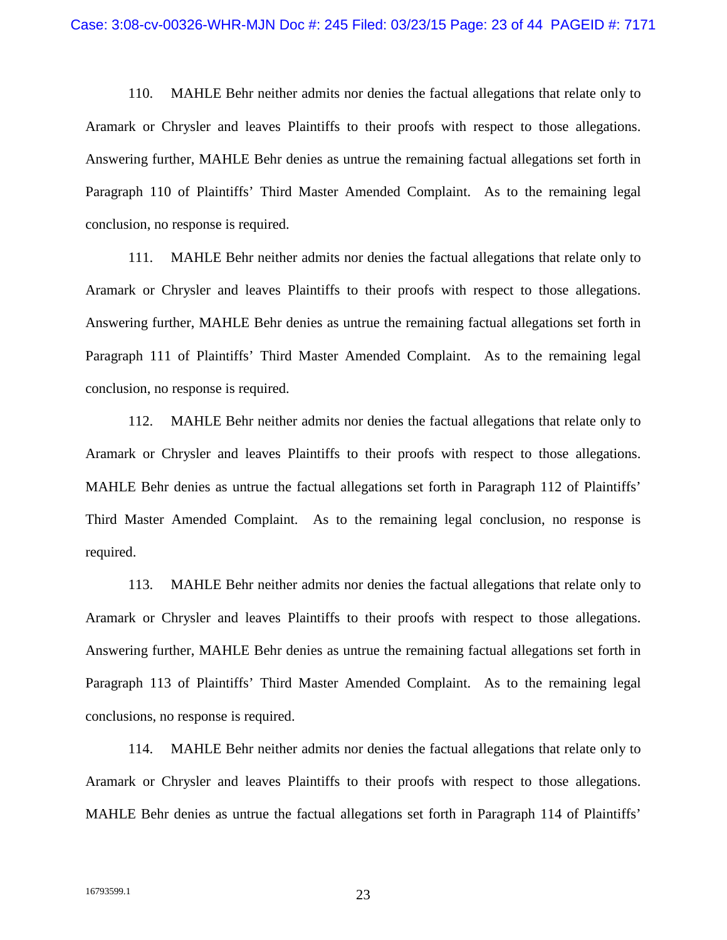110. MAHLE Behr neither admits nor denies the factual allegations that relate only to Aramark or Chrysler and leaves Plaintiffs to their proofs with respect to those allegations. Answering further, MAHLE Behr denies as untrue the remaining factual allegations set forth in Paragraph 110 of Plaintiffs' Third Master Amended Complaint. As to the remaining legal conclusion, no response is required.

111. MAHLE Behr neither admits nor denies the factual allegations that relate only to Aramark or Chrysler and leaves Plaintiffs to their proofs with respect to those allegations. Answering further, MAHLE Behr denies as untrue the remaining factual allegations set forth in Paragraph 111 of Plaintiffs' Third Master Amended Complaint. As to the remaining legal conclusion, no response is required.

112. MAHLE Behr neither admits nor denies the factual allegations that relate only to Aramark or Chrysler and leaves Plaintiffs to their proofs with respect to those allegations. MAHLE Behr denies as untrue the factual allegations set forth in Paragraph 112 of Plaintiffs' Third Master Amended Complaint. As to the remaining legal conclusion, no response is required.

113. MAHLE Behr neither admits nor denies the factual allegations that relate only to Aramark or Chrysler and leaves Plaintiffs to their proofs with respect to those allegations. Answering further, MAHLE Behr denies as untrue the remaining factual allegations set forth in Paragraph 113 of Plaintiffs' Third Master Amended Complaint. As to the remaining legal conclusions, no response is required.

114. MAHLE Behr neither admits nor denies the factual allegations that relate only to Aramark or Chrysler and leaves Plaintiffs to their proofs with respect to those allegations. MAHLE Behr denies as untrue the factual allegations set forth in Paragraph 114 of Plaintiffs'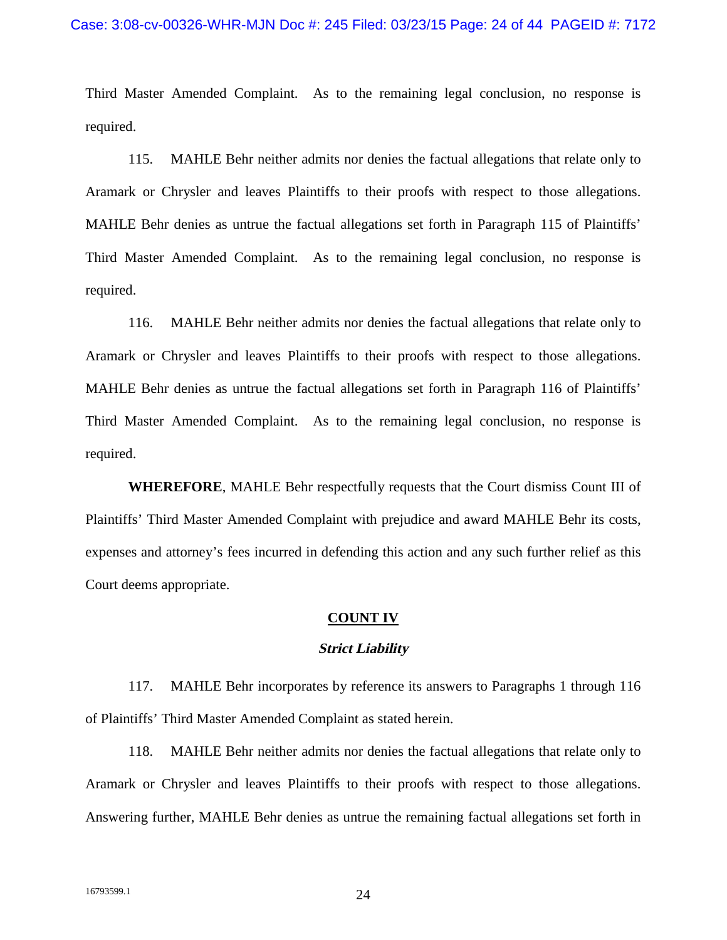#### Case: 3:08-cv-00326-WHR-MJN Doc #: 245 Filed: 03/23/15 Page: 24 of 44 PAGEID #: 7172

Third Master Amended Complaint. As to the remaining legal conclusion, no response is required.

115. MAHLE Behr neither admits nor denies the factual allegations that relate only to Aramark or Chrysler and leaves Plaintiffs to their proofs with respect to those allegations. MAHLE Behr denies as untrue the factual allegations set forth in Paragraph 115 of Plaintiffs' Third Master Amended Complaint. As to the remaining legal conclusion, no response is required.

116. MAHLE Behr neither admits nor denies the factual allegations that relate only to Aramark or Chrysler and leaves Plaintiffs to their proofs with respect to those allegations. MAHLE Behr denies as untrue the factual allegations set forth in Paragraph 116 of Plaintiffs' Third Master Amended Complaint. As to the remaining legal conclusion, no response is required.

**WHEREFORE**, MAHLE Behr respectfully requests that the Court dismiss Count III of Plaintiffs' Third Master Amended Complaint with prejudice and award MAHLE Behr its costs, expenses and attorney's fees incurred in defending this action and any such further relief as this Court deems appropriate.

#### **COUNT IV**

#### **Strict Liability**

117. MAHLE Behr incorporates by reference its answers to Paragraphs 1 through 116 of Plaintiffs' Third Master Amended Complaint as stated herein.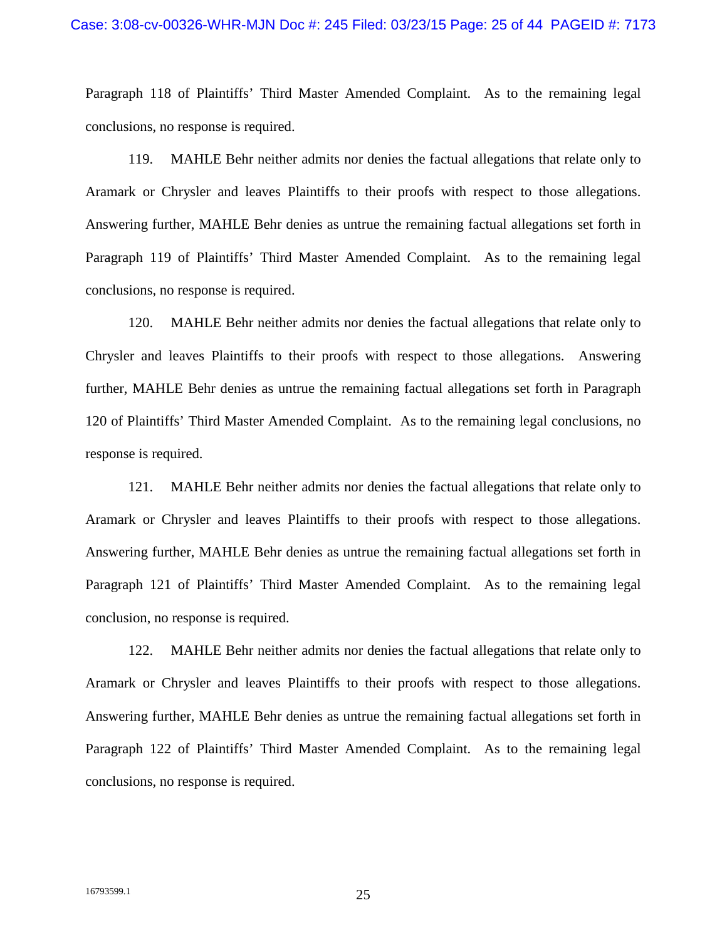#### Case: 3:08-cv-00326-WHR-MJN Doc #: 245 Filed: 03/23/15 Page: 25 of 44 PAGEID #: 7173

Paragraph 118 of Plaintiffs' Third Master Amended Complaint. As to the remaining legal conclusions, no response is required.

119. MAHLE Behr neither admits nor denies the factual allegations that relate only to Aramark or Chrysler and leaves Plaintiffs to their proofs with respect to those allegations. Answering further, MAHLE Behr denies as untrue the remaining factual allegations set forth in Paragraph 119 of Plaintiffs' Third Master Amended Complaint. As to the remaining legal conclusions, no response is required.

120. MAHLE Behr neither admits nor denies the factual allegations that relate only to Chrysler and leaves Plaintiffs to their proofs with respect to those allegations. Answering further, MAHLE Behr denies as untrue the remaining factual allegations set forth in Paragraph 120 of Plaintiffs' Third Master Amended Complaint. As to the remaining legal conclusions, no response is required.

121. MAHLE Behr neither admits nor denies the factual allegations that relate only to Aramark or Chrysler and leaves Plaintiffs to their proofs with respect to those allegations. Answering further, MAHLE Behr denies as untrue the remaining factual allegations set forth in Paragraph 121 of Plaintiffs' Third Master Amended Complaint. As to the remaining legal conclusion, no response is required.

122. MAHLE Behr neither admits nor denies the factual allegations that relate only to Aramark or Chrysler and leaves Plaintiffs to their proofs with respect to those allegations. Answering further, MAHLE Behr denies as untrue the remaining factual allegations set forth in Paragraph 122 of Plaintiffs' Third Master Amended Complaint. As to the remaining legal conclusions, no response is required.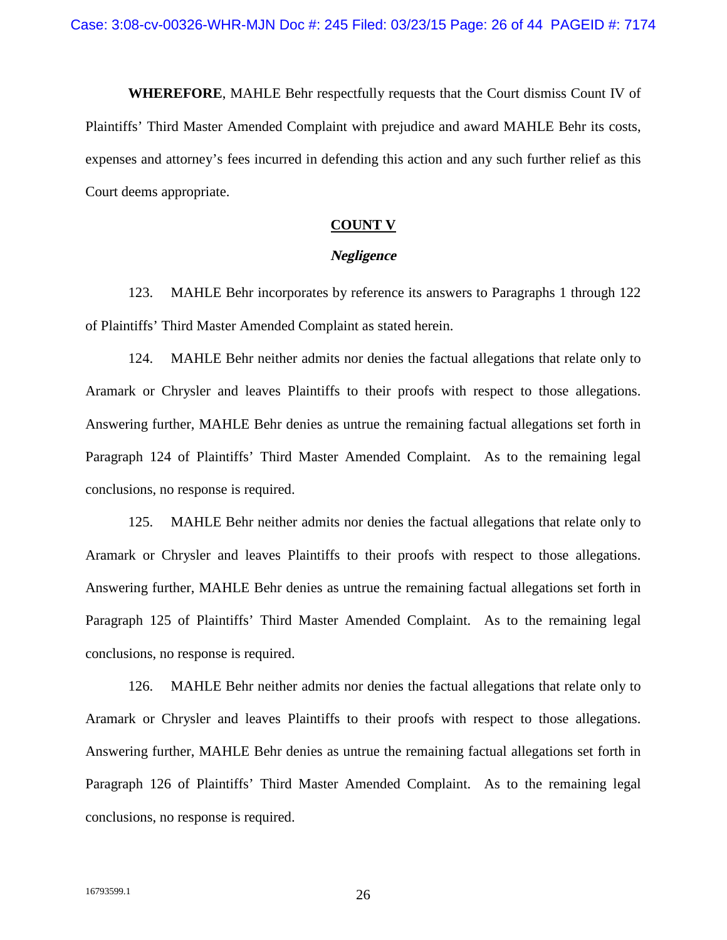**WHEREFORE**, MAHLE Behr respectfully requests that the Court dismiss Count IV of Plaintiffs' Third Master Amended Complaint with prejudice and award MAHLE Behr its costs, expenses and attorney's fees incurred in defending this action and any such further relief as this Court deems appropriate.

# **COUNT V**

# **Negligence**

123. MAHLE Behr incorporates by reference its answers to Paragraphs 1 through 122 of Plaintiffs' Third Master Amended Complaint as stated herein.

124. MAHLE Behr neither admits nor denies the factual allegations that relate only to Aramark or Chrysler and leaves Plaintiffs to their proofs with respect to those allegations. Answering further, MAHLE Behr denies as untrue the remaining factual allegations set forth in Paragraph 124 of Plaintiffs' Third Master Amended Complaint. As to the remaining legal conclusions, no response is required.

125. MAHLE Behr neither admits nor denies the factual allegations that relate only to Aramark or Chrysler and leaves Plaintiffs to their proofs with respect to those allegations. Answering further, MAHLE Behr denies as untrue the remaining factual allegations set forth in Paragraph 125 of Plaintiffs' Third Master Amended Complaint. As to the remaining legal conclusions, no response is required.

126. MAHLE Behr neither admits nor denies the factual allegations that relate only to Aramark or Chrysler and leaves Plaintiffs to their proofs with respect to those allegations. Answering further, MAHLE Behr denies as untrue the remaining factual allegations set forth in Paragraph 126 of Plaintiffs' Third Master Amended Complaint. As to the remaining legal conclusions, no response is required.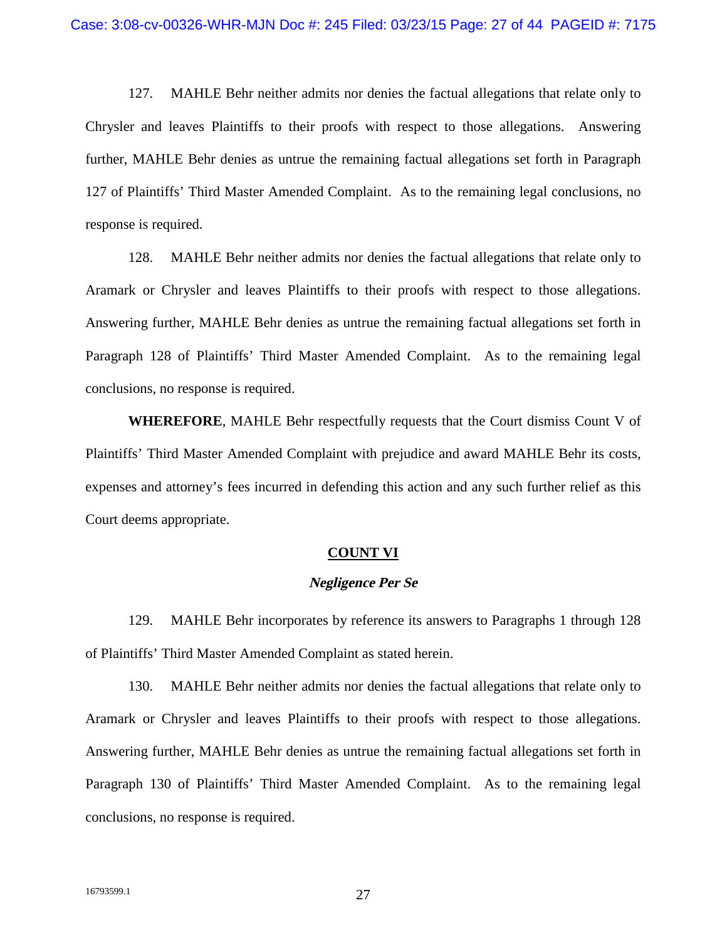127. MAHLE Behr neither admits nor denies the factual allegations that relate only to Chrysler and leaves Plaintiffs to their proofs with respect to those allegations. Answering further, MAHLE Behr denies as untrue the remaining factual allegations set forth in Paragraph 127 of Plaintiffs' Third Master Amended Complaint. As to the remaining legal conclusions, no response is required.

128. MAHLE Behr neither admits nor denies the factual allegations that relate only to Aramark or Chrysler and leaves Plaintiffs to their proofs with respect to those allegations. Answering further, MAHLE Behr denies as untrue the remaining factual allegations set forth in Paragraph 128 of Plaintiffs' Third Master Amended Complaint. As to the remaining legal conclusions, no response is required.

**WHEREFORE**, MAHLE Behr respectfully requests that the Court dismiss Count V of Plaintiffs' Third Master Amended Complaint with prejudice and award MAHLE Behr its costs, expenses and attorney's fees incurred in defending this action and any such further relief as this Court deems appropriate.

### **COUNT VI**

## **Negligence Per Se**

129. MAHLE Behr incorporates by reference its answers to Paragraphs 1 through 128 of Plaintiffs' Third Master Amended Complaint as stated herein.

130. MAHLE Behr neither admits nor denies the factual allegations that relate only to Aramark or Chrysler and leaves Plaintiffs to their proofs with respect to those allegations. Answering further, MAHLE Behr denies as untrue the remaining factual allegations set forth in Paragraph 130 of Plaintiffs' Third Master Amended Complaint. As to the remaining legal conclusions, no response is required.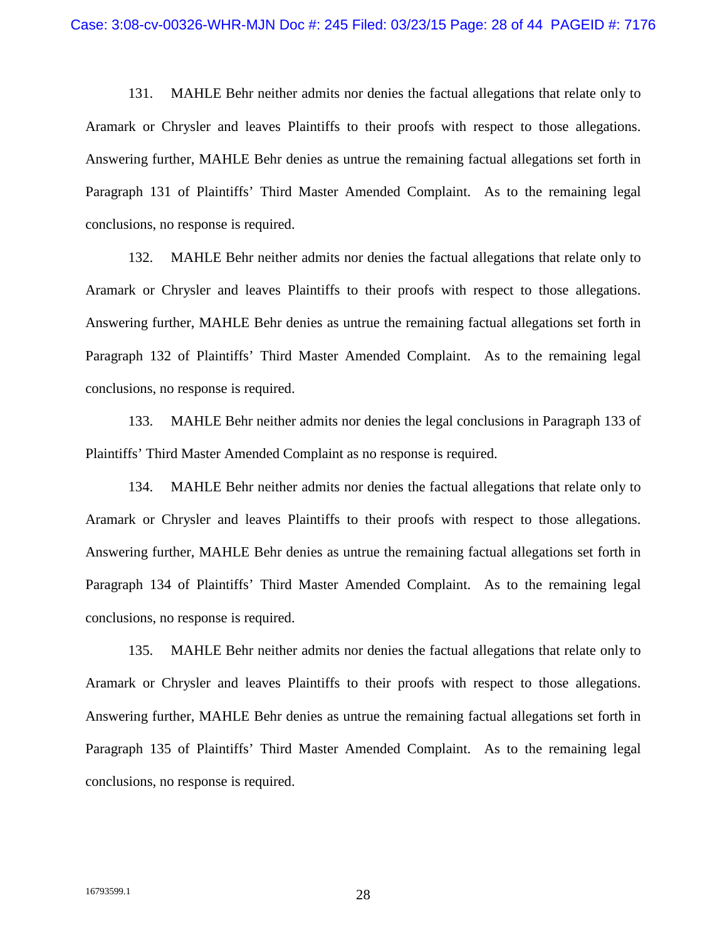131. MAHLE Behr neither admits nor denies the factual allegations that relate only to Aramark or Chrysler and leaves Plaintiffs to their proofs with respect to those allegations. Answering further, MAHLE Behr denies as untrue the remaining factual allegations set forth in Paragraph 131 of Plaintiffs' Third Master Amended Complaint. As to the remaining legal conclusions, no response is required.

132. MAHLE Behr neither admits nor denies the factual allegations that relate only to Aramark or Chrysler and leaves Plaintiffs to their proofs with respect to those allegations. Answering further, MAHLE Behr denies as untrue the remaining factual allegations set forth in Paragraph 132 of Plaintiffs' Third Master Amended Complaint. As to the remaining legal conclusions, no response is required.

133. MAHLE Behr neither admits nor denies the legal conclusions in Paragraph 133 of Plaintiffs' Third Master Amended Complaint as no response is required.

134. MAHLE Behr neither admits nor denies the factual allegations that relate only to Aramark or Chrysler and leaves Plaintiffs to their proofs with respect to those allegations. Answering further, MAHLE Behr denies as untrue the remaining factual allegations set forth in Paragraph 134 of Plaintiffs' Third Master Amended Complaint. As to the remaining legal conclusions, no response is required.

135. MAHLE Behr neither admits nor denies the factual allegations that relate only to Aramark or Chrysler and leaves Plaintiffs to their proofs with respect to those allegations. Answering further, MAHLE Behr denies as untrue the remaining factual allegations set forth in Paragraph 135 of Plaintiffs' Third Master Amended Complaint. As to the remaining legal conclusions, no response is required.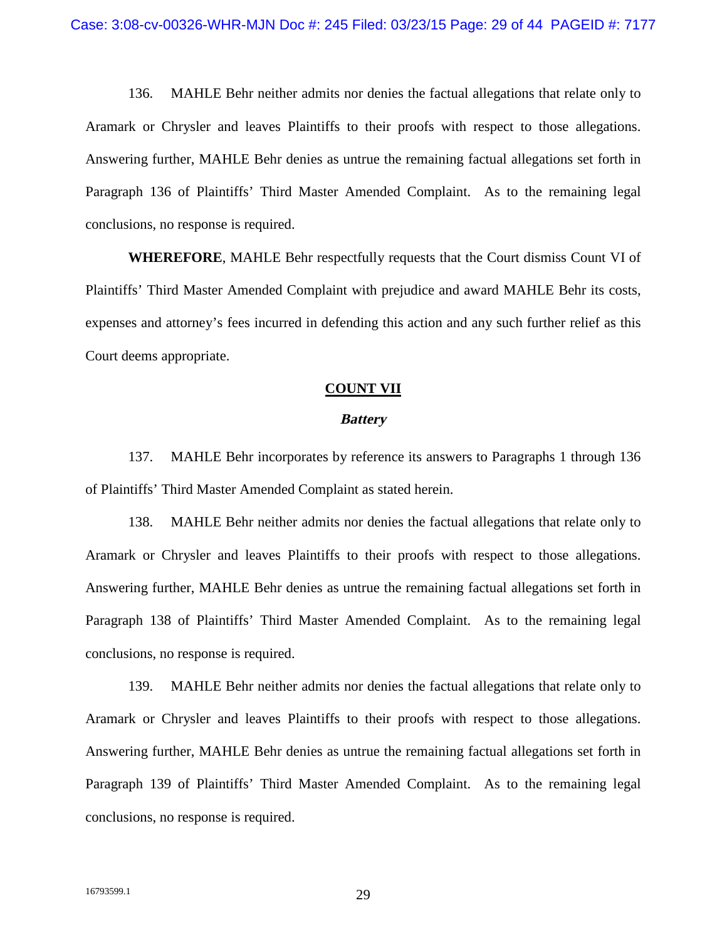136. MAHLE Behr neither admits nor denies the factual allegations that relate only to Aramark or Chrysler and leaves Plaintiffs to their proofs with respect to those allegations. Answering further, MAHLE Behr denies as untrue the remaining factual allegations set forth in Paragraph 136 of Plaintiffs' Third Master Amended Complaint. As to the remaining legal conclusions, no response is required.

**WHEREFORE**, MAHLE Behr respectfully requests that the Court dismiss Count VI of Plaintiffs' Third Master Amended Complaint with prejudice and award MAHLE Behr its costs, expenses and attorney's fees incurred in defending this action and any such further relief as this Court deems appropriate.

### **COUNT VII**

### **Battery**

137. MAHLE Behr incorporates by reference its answers to Paragraphs 1 through 136 of Plaintiffs' Third Master Amended Complaint as stated herein.

138. MAHLE Behr neither admits nor denies the factual allegations that relate only to Aramark or Chrysler and leaves Plaintiffs to their proofs with respect to those allegations. Answering further, MAHLE Behr denies as untrue the remaining factual allegations set forth in Paragraph 138 of Plaintiffs' Third Master Amended Complaint. As to the remaining legal conclusions, no response is required.

139. MAHLE Behr neither admits nor denies the factual allegations that relate only to Aramark or Chrysler and leaves Plaintiffs to their proofs with respect to those allegations. Answering further, MAHLE Behr denies as untrue the remaining factual allegations set forth in Paragraph 139 of Plaintiffs' Third Master Amended Complaint. As to the remaining legal conclusions, no response is required.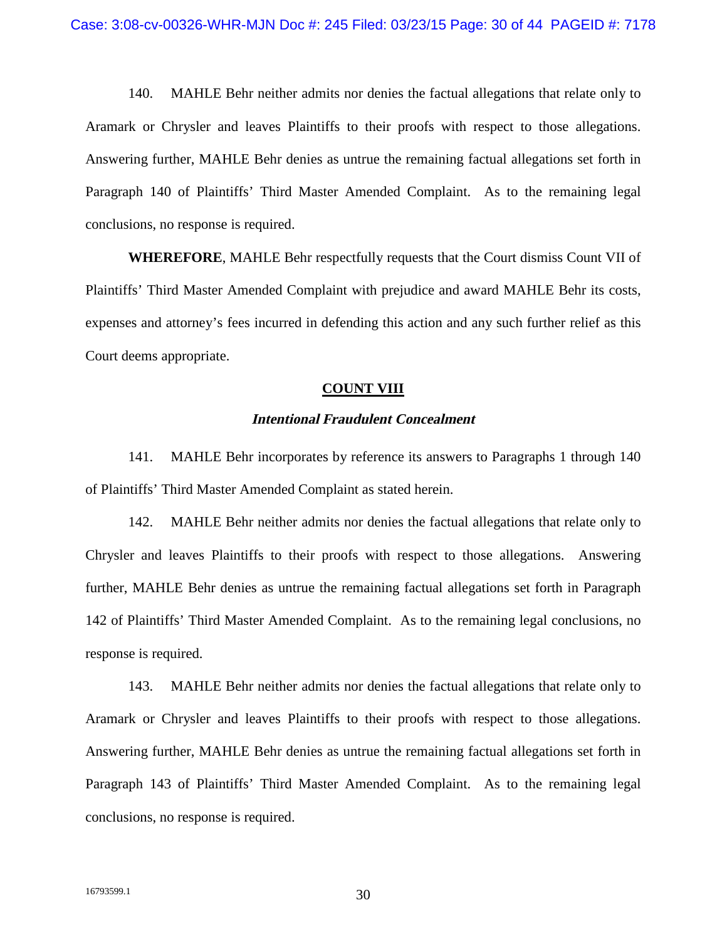140. MAHLE Behr neither admits nor denies the factual allegations that relate only to Aramark or Chrysler and leaves Plaintiffs to their proofs with respect to those allegations. Answering further, MAHLE Behr denies as untrue the remaining factual allegations set forth in Paragraph 140 of Plaintiffs' Third Master Amended Complaint. As to the remaining legal conclusions, no response is required.

**WHEREFORE**, MAHLE Behr respectfully requests that the Court dismiss Count VII of Plaintiffs' Third Master Amended Complaint with prejudice and award MAHLE Behr its costs, expenses and attorney's fees incurred in defending this action and any such further relief as this Court deems appropriate.

## **COUNT VIII**

## **Intentional Fraudulent Concealment**

141. MAHLE Behr incorporates by reference its answers to Paragraphs 1 through 140 of Plaintiffs' Third Master Amended Complaint as stated herein.

142. MAHLE Behr neither admits nor denies the factual allegations that relate only to Chrysler and leaves Plaintiffs to their proofs with respect to those allegations. Answering further, MAHLE Behr denies as untrue the remaining factual allegations set forth in Paragraph 142 of Plaintiffs' Third Master Amended Complaint. As to the remaining legal conclusions, no response is required.

143. MAHLE Behr neither admits nor denies the factual allegations that relate only to Aramark or Chrysler and leaves Plaintiffs to their proofs with respect to those allegations. Answering further, MAHLE Behr denies as untrue the remaining factual allegations set forth in Paragraph 143 of Plaintiffs' Third Master Amended Complaint. As to the remaining legal conclusions, no response is required.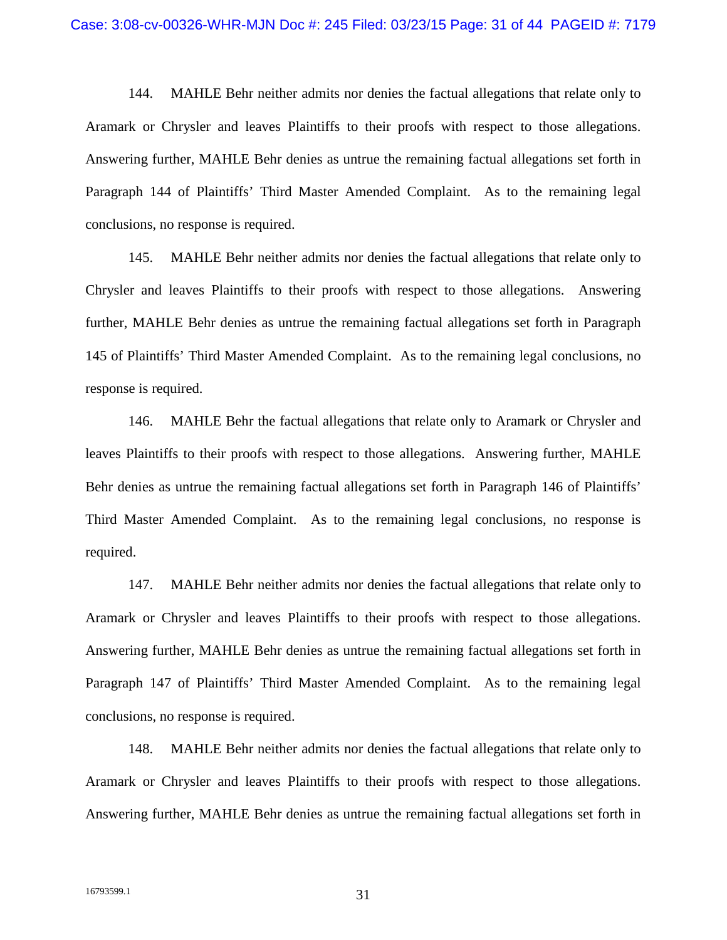144. MAHLE Behr neither admits nor denies the factual allegations that relate only to Aramark or Chrysler and leaves Plaintiffs to their proofs with respect to those allegations. Answering further, MAHLE Behr denies as untrue the remaining factual allegations set forth in Paragraph 144 of Plaintiffs' Third Master Amended Complaint. As to the remaining legal conclusions, no response is required.

145. MAHLE Behr neither admits nor denies the factual allegations that relate only to Chrysler and leaves Plaintiffs to their proofs with respect to those allegations. Answering further, MAHLE Behr denies as untrue the remaining factual allegations set forth in Paragraph 145 of Plaintiffs' Third Master Amended Complaint. As to the remaining legal conclusions, no response is required.

146. MAHLE Behr the factual allegations that relate only to Aramark or Chrysler and leaves Plaintiffs to their proofs with respect to those allegations. Answering further, MAHLE Behr denies as untrue the remaining factual allegations set forth in Paragraph 146 of Plaintiffs' Third Master Amended Complaint. As to the remaining legal conclusions, no response is required.

147. MAHLE Behr neither admits nor denies the factual allegations that relate only to Aramark or Chrysler and leaves Plaintiffs to their proofs with respect to those allegations. Answering further, MAHLE Behr denies as untrue the remaining factual allegations set forth in Paragraph 147 of Plaintiffs' Third Master Amended Complaint. As to the remaining legal conclusions, no response is required.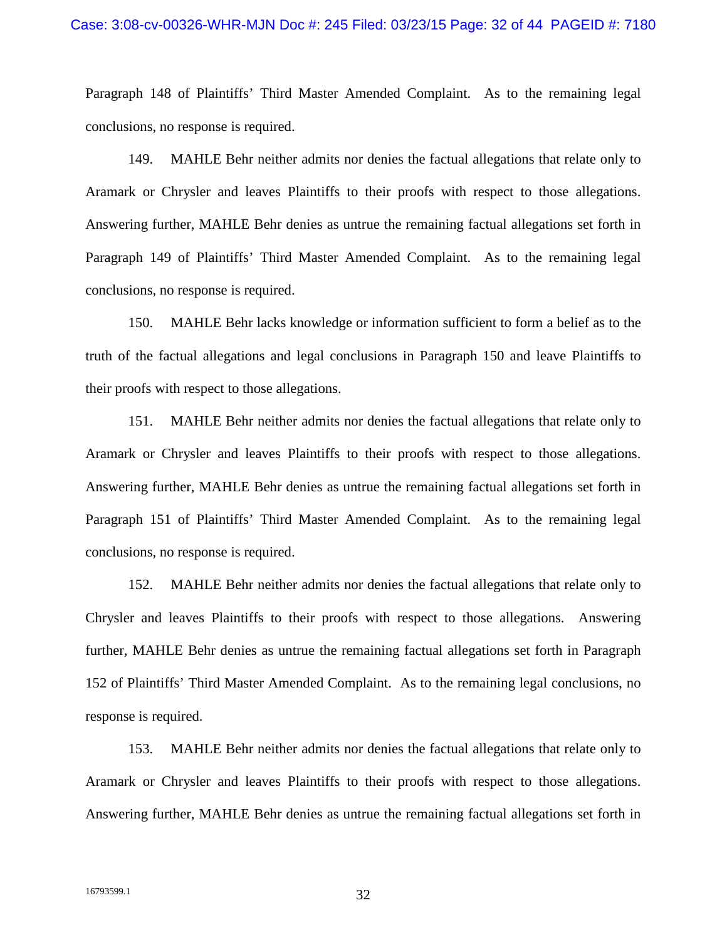#### Case: 3:08-cv-00326-WHR-MJN Doc #: 245 Filed: 03/23/15 Page: 32 of 44 PAGEID #: 7180

Paragraph 148 of Plaintiffs' Third Master Amended Complaint. As to the remaining legal conclusions, no response is required.

149. MAHLE Behr neither admits nor denies the factual allegations that relate only to Aramark or Chrysler and leaves Plaintiffs to their proofs with respect to those allegations. Answering further, MAHLE Behr denies as untrue the remaining factual allegations set forth in Paragraph 149 of Plaintiffs' Third Master Amended Complaint. As to the remaining legal conclusions, no response is required.

150. MAHLE Behr lacks knowledge or information sufficient to form a belief as to the truth of the factual allegations and legal conclusions in Paragraph 150 and leave Plaintiffs to their proofs with respect to those allegations.

151. MAHLE Behr neither admits nor denies the factual allegations that relate only to Aramark or Chrysler and leaves Plaintiffs to their proofs with respect to those allegations. Answering further, MAHLE Behr denies as untrue the remaining factual allegations set forth in Paragraph 151 of Plaintiffs' Third Master Amended Complaint. As to the remaining legal conclusions, no response is required.

152. MAHLE Behr neither admits nor denies the factual allegations that relate only to Chrysler and leaves Plaintiffs to their proofs with respect to those allegations. Answering further, MAHLE Behr denies as untrue the remaining factual allegations set forth in Paragraph 152 of Plaintiffs' Third Master Amended Complaint. As to the remaining legal conclusions, no response is required.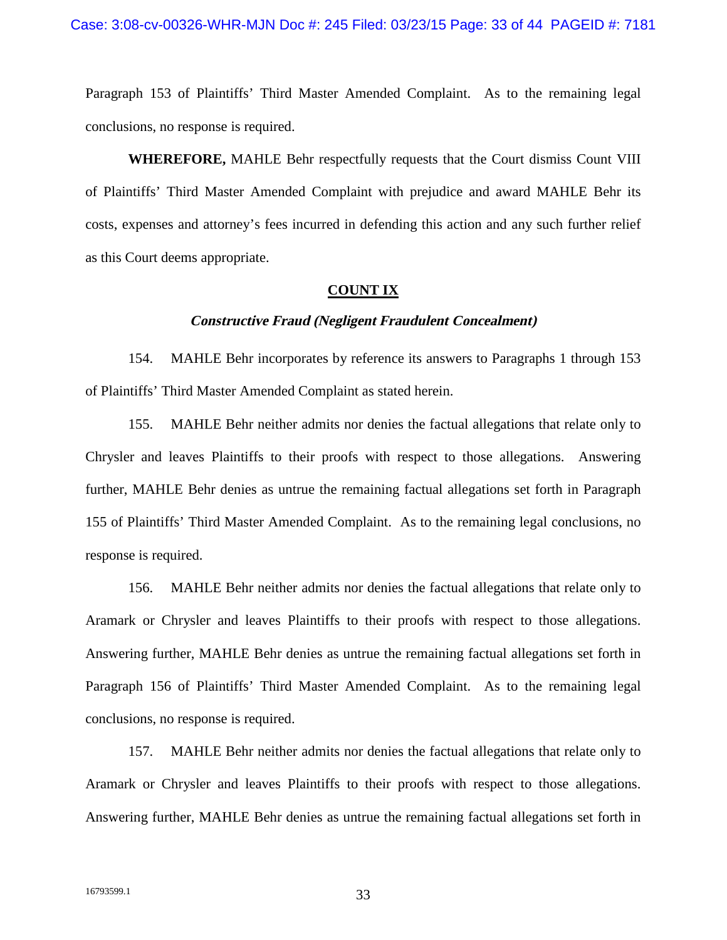Paragraph 153 of Plaintiffs' Third Master Amended Complaint. As to the remaining legal conclusions, no response is required.

**WHEREFORE,** MAHLE Behr respectfully requests that the Court dismiss Count VIII of Plaintiffs' Third Master Amended Complaint with prejudice and award MAHLE Behr its costs, expenses and attorney's fees incurred in defending this action and any such further relief as this Court deems appropriate.

#### **COUNT IX**

### **Constructive Fraud (Negligent Fraudulent Concealment)**

154. MAHLE Behr incorporates by reference its answers to Paragraphs 1 through 153 of Plaintiffs' Third Master Amended Complaint as stated herein.

155. MAHLE Behr neither admits nor denies the factual allegations that relate only to Chrysler and leaves Plaintiffs to their proofs with respect to those allegations. Answering further, MAHLE Behr denies as untrue the remaining factual allegations set forth in Paragraph 155 of Plaintiffs' Third Master Amended Complaint. As to the remaining legal conclusions, no response is required.

156. MAHLE Behr neither admits nor denies the factual allegations that relate only to Aramark or Chrysler and leaves Plaintiffs to their proofs with respect to those allegations. Answering further, MAHLE Behr denies as untrue the remaining factual allegations set forth in Paragraph 156 of Plaintiffs' Third Master Amended Complaint. As to the remaining legal conclusions, no response is required.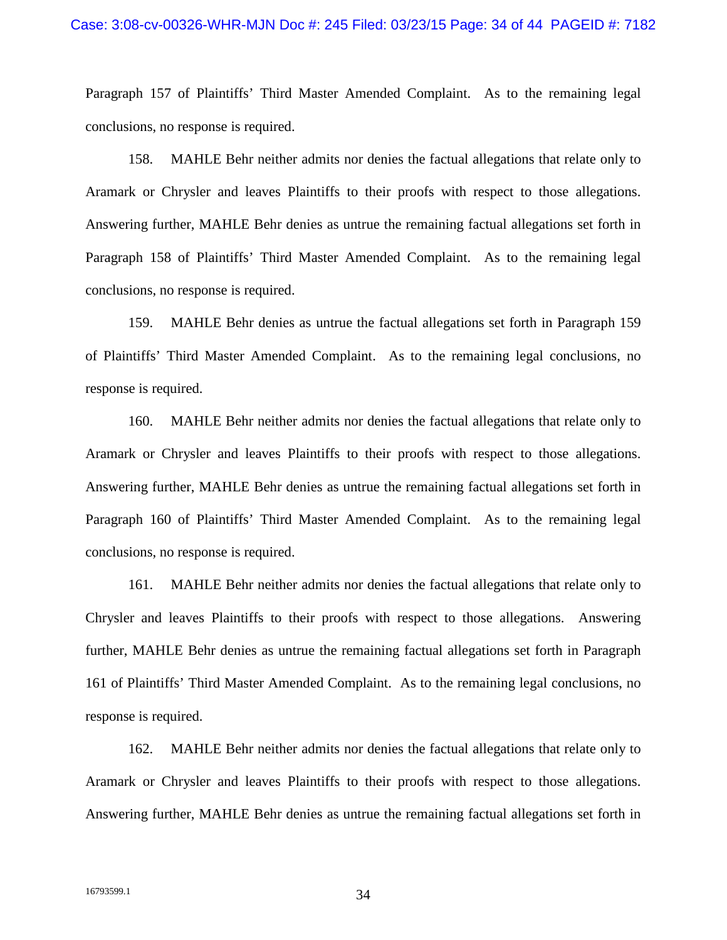#### Case: 3:08-cv-00326-WHR-MJN Doc #: 245 Filed: 03/23/15 Page: 34 of 44 PAGEID #: 7182

Paragraph 157 of Plaintiffs' Third Master Amended Complaint. As to the remaining legal conclusions, no response is required.

158. MAHLE Behr neither admits nor denies the factual allegations that relate only to Aramark or Chrysler and leaves Plaintiffs to their proofs with respect to those allegations. Answering further, MAHLE Behr denies as untrue the remaining factual allegations set forth in Paragraph 158 of Plaintiffs' Third Master Amended Complaint. As to the remaining legal conclusions, no response is required.

159. MAHLE Behr denies as untrue the factual allegations set forth in Paragraph 159 of Plaintiffs' Third Master Amended Complaint. As to the remaining legal conclusions, no response is required.

160. MAHLE Behr neither admits nor denies the factual allegations that relate only to Aramark or Chrysler and leaves Plaintiffs to their proofs with respect to those allegations. Answering further, MAHLE Behr denies as untrue the remaining factual allegations set forth in Paragraph 160 of Plaintiffs' Third Master Amended Complaint. As to the remaining legal conclusions, no response is required.

161. MAHLE Behr neither admits nor denies the factual allegations that relate only to Chrysler and leaves Plaintiffs to their proofs with respect to those allegations. Answering further, MAHLE Behr denies as untrue the remaining factual allegations set forth in Paragraph 161 of Plaintiffs' Third Master Amended Complaint. As to the remaining legal conclusions, no response is required.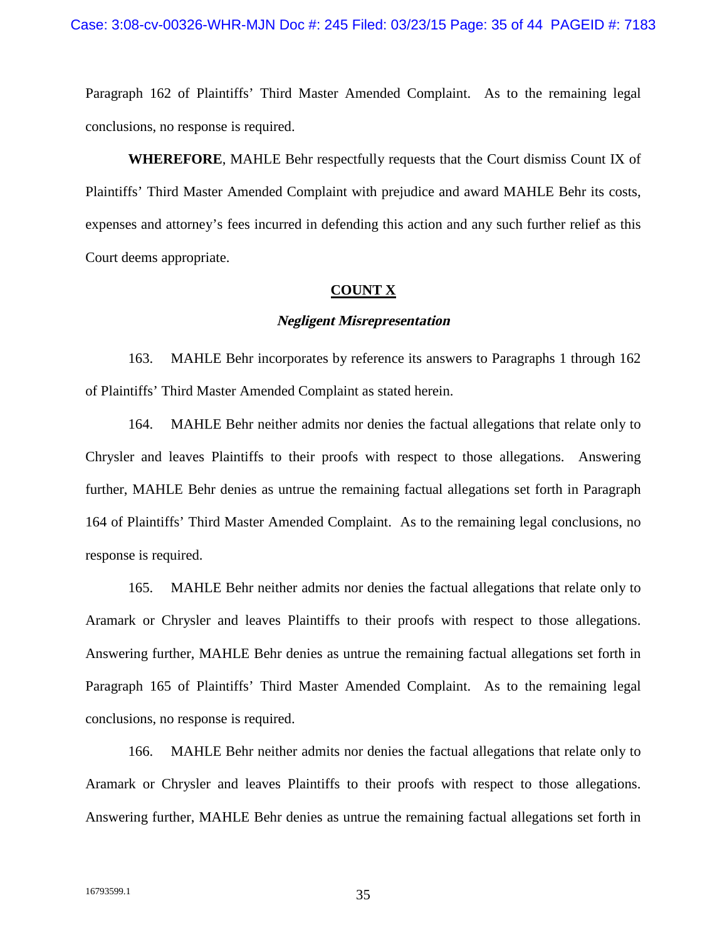Paragraph 162 of Plaintiffs' Third Master Amended Complaint. As to the remaining legal conclusions, no response is required.

**WHEREFORE**, MAHLE Behr respectfully requests that the Court dismiss Count IX of Plaintiffs' Third Master Amended Complaint with prejudice and award MAHLE Behr its costs, expenses and attorney's fees incurred in defending this action and any such further relief as this Court deems appropriate.

#### **COUNT X**

### **Negligent Misrepresentation**

163. MAHLE Behr incorporates by reference its answers to Paragraphs 1 through 162 of Plaintiffs' Third Master Amended Complaint as stated herein.

164. MAHLE Behr neither admits nor denies the factual allegations that relate only to Chrysler and leaves Plaintiffs to their proofs with respect to those allegations. Answering further, MAHLE Behr denies as untrue the remaining factual allegations set forth in Paragraph 164 of Plaintiffs' Third Master Amended Complaint. As to the remaining legal conclusions, no response is required.

165. MAHLE Behr neither admits nor denies the factual allegations that relate only to Aramark or Chrysler and leaves Plaintiffs to their proofs with respect to those allegations. Answering further, MAHLE Behr denies as untrue the remaining factual allegations set forth in Paragraph 165 of Plaintiffs' Third Master Amended Complaint. As to the remaining legal conclusions, no response is required.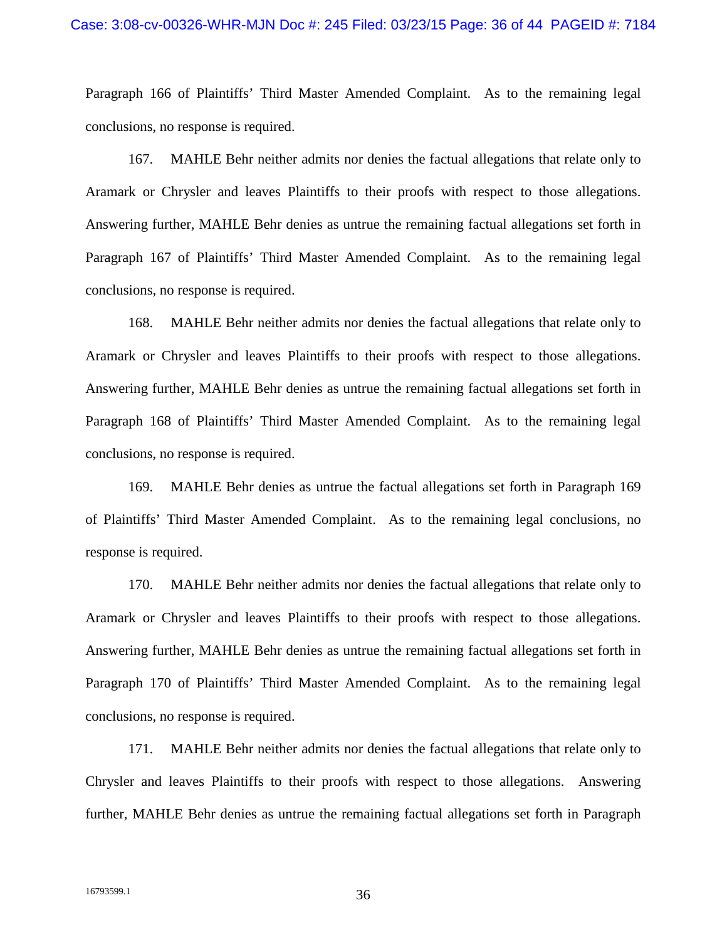#### Case: 3:08-cv-00326-WHR-MJN Doc #: 245 Filed: 03/23/15 Page: 36 of 44 PAGEID #: 7184

Paragraph 166 of Plaintiffs' Third Master Amended Complaint. As to the remaining legal conclusions, no response is required.

167. MAHLE Behr neither admits nor denies the factual allegations that relate only to Aramark or Chrysler and leaves Plaintiffs to their proofs with respect to those allegations. Answering further, MAHLE Behr denies as untrue the remaining factual allegations set forth in Paragraph 167 of Plaintiffs' Third Master Amended Complaint. As to the remaining legal conclusions, no response is required.

168. MAHLE Behr neither admits nor denies the factual allegations that relate only to Aramark or Chrysler and leaves Plaintiffs to their proofs with respect to those allegations. Answering further, MAHLE Behr denies as untrue the remaining factual allegations set forth in Paragraph 168 of Plaintiffs' Third Master Amended Complaint. As to the remaining legal conclusions, no response is required.

169. MAHLE Behr denies as untrue the factual allegations set forth in Paragraph 169 of Plaintiffs' Third Master Amended Complaint. As to the remaining legal conclusions, no response is required.

170. MAHLE Behr neither admits nor denies the factual allegations that relate only to Aramark or Chrysler and leaves Plaintiffs to their proofs with respect to those allegations. Answering further, MAHLE Behr denies as untrue the remaining factual allegations set forth in Paragraph 170 of Plaintiffs' Third Master Amended Complaint. As to the remaining legal conclusions, no response is required.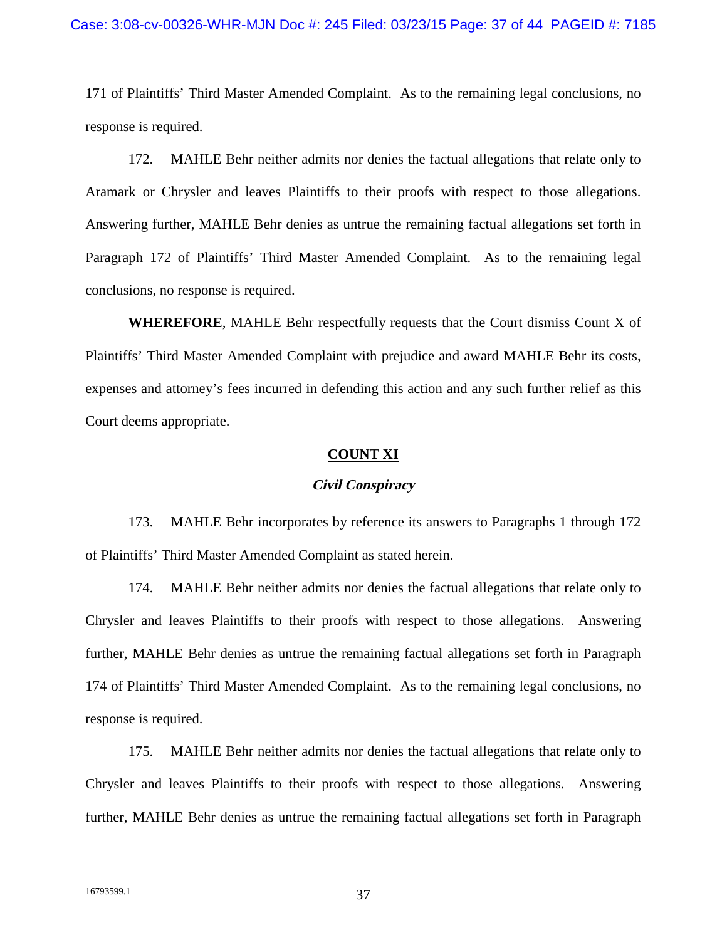### Case: 3:08-cv-00326-WHR-MJN Doc #: 245 Filed: 03/23/15 Page: 37 of 44 PAGEID #: 7185

171 of Plaintiffs' Third Master Amended Complaint. As to the remaining legal conclusions, no response is required.

172. MAHLE Behr neither admits nor denies the factual allegations that relate only to Aramark or Chrysler and leaves Plaintiffs to their proofs with respect to those allegations. Answering further, MAHLE Behr denies as untrue the remaining factual allegations set forth in Paragraph 172 of Plaintiffs' Third Master Amended Complaint. As to the remaining legal conclusions, no response is required.

**WHEREFORE**, MAHLE Behr respectfully requests that the Court dismiss Count X of Plaintiffs' Third Master Amended Complaint with prejudice and award MAHLE Behr its costs, expenses and attorney's fees incurred in defending this action and any such further relief as this Court deems appropriate.

### **COUNT XI**

## **Civil Conspiracy**

173. MAHLE Behr incorporates by reference its answers to Paragraphs 1 through 172 of Plaintiffs' Third Master Amended Complaint as stated herein.

174. MAHLE Behr neither admits nor denies the factual allegations that relate only to Chrysler and leaves Plaintiffs to their proofs with respect to those allegations. Answering further, MAHLE Behr denies as untrue the remaining factual allegations set forth in Paragraph 174 of Plaintiffs' Third Master Amended Complaint. As to the remaining legal conclusions, no response is required.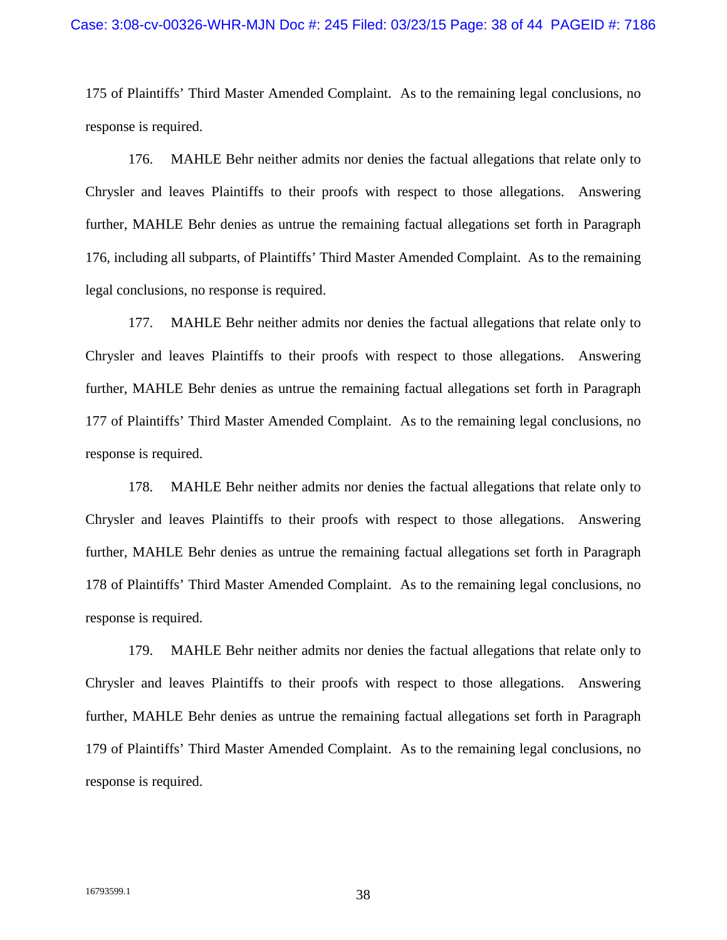#### Case: 3:08-cv-00326-WHR-MJN Doc #: 245 Filed: 03/23/15 Page: 38 of 44 PAGEID #: 7186

175 of Plaintiffs' Third Master Amended Complaint. As to the remaining legal conclusions, no response is required.

176. MAHLE Behr neither admits nor denies the factual allegations that relate only to Chrysler and leaves Plaintiffs to their proofs with respect to those allegations. Answering further, MAHLE Behr denies as untrue the remaining factual allegations set forth in Paragraph 176, including all subparts, of Plaintiffs' Third Master Amended Complaint. As to the remaining legal conclusions, no response is required.

177. MAHLE Behr neither admits nor denies the factual allegations that relate only to Chrysler and leaves Plaintiffs to their proofs with respect to those allegations. Answering further, MAHLE Behr denies as untrue the remaining factual allegations set forth in Paragraph 177 of Plaintiffs' Third Master Amended Complaint. As to the remaining legal conclusions, no response is required.

178. MAHLE Behr neither admits nor denies the factual allegations that relate only to Chrysler and leaves Plaintiffs to their proofs with respect to those allegations. Answering further, MAHLE Behr denies as untrue the remaining factual allegations set forth in Paragraph 178 of Plaintiffs' Third Master Amended Complaint. As to the remaining legal conclusions, no response is required.

179. MAHLE Behr neither admits nor denies the factual allegations that relate only to Chrysler and leaves Plaintiffs to their proofs with respect to those allegations. Answering further, MAHLE Behr denies as untrue the remaining factual allegations set forth in Paragraph 179 of Plaintiffs' Third Master Amended Complaint. As to the remaining legal conclusions, no response is required.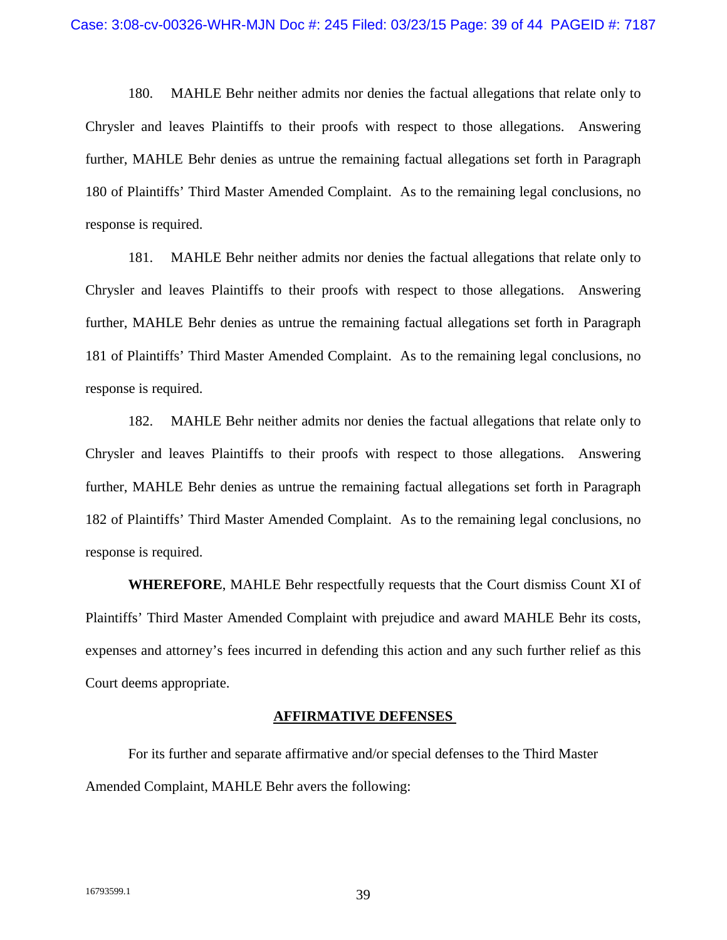180. MAHLE Behr neither admits nor denies the factual allegations that relate only to Chrysler and leaves Plaintiffs to their proofs with respect to those allegations. Answering further, MAHLE Behr denies as untrue the remaining factual allegations set forth in Paragraph 180 of Plaintiffs' Third Master Amended Complaint. As to the remaining legal conclusions, no response is required.

181. MAHLE Behr neither admits nor denies the factual allegations that relate only to Chrysler and leaves Plaintiffs to their proofs with respect to those allegations. Answering further, MAHLE Behr denies as untrue the remaining factual allegations set forth in Paragraph 181 of Plaintiffs' Third Master Amended Complaint. As to the remaining legal conclusions, no response is required.

182. MAHLE Behr neither admits nor denies the factual allegations that relate only to Chrysler and leaves Plaintiffs to their proofs with respect to those allegations. Answering further, MAHLE Behr denies as untrue the remaining factual allegations set forth in Paragraph 182 of Plaintiffs' Third Master Amended Complaint. As to the remaining legal conclusions, no response is required.

**WHEREFORE**, MAHLE Behr respectfully requests that the Court dismiss Count XI of Plaintiffs' Third Master Amended Complaint with prejudice and award MAHLE Behr its costs, expenses and attorney's fees incurred in defending this action and any such further relief as this Court deems appropriate.

# **AFFIRMATIVE DEFENSES**

For its further and separate affirmative and/or special defenses to the Third Master Amended Complaint, MAHLE Behr avers the following: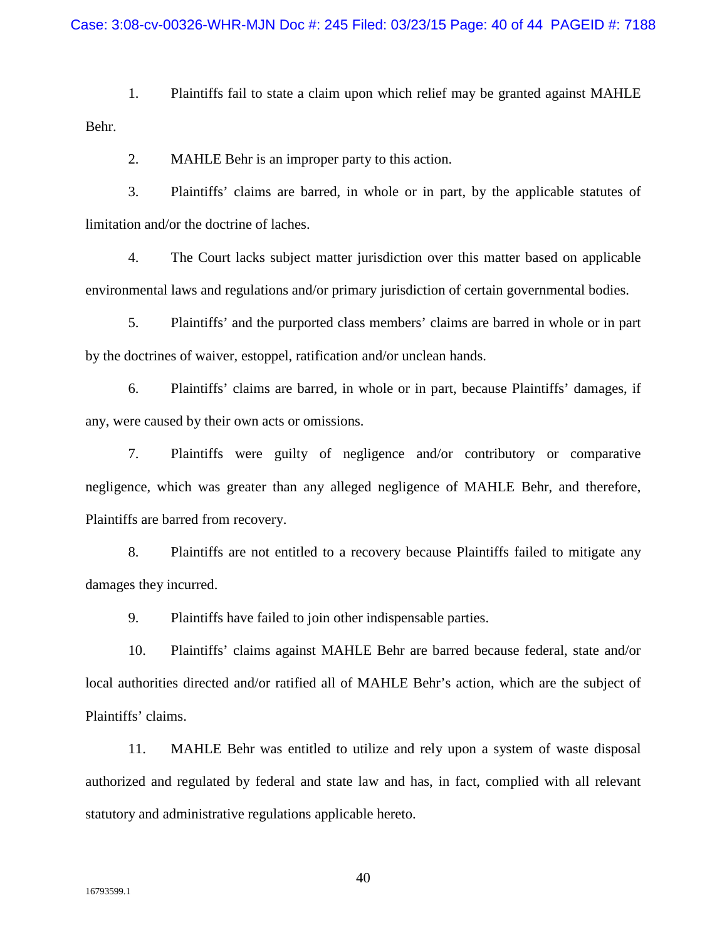1. Plaintiffs fail to state a claim upon which relief may be granted against MAHLE Behr.

2. MAHLE Behr is an improper party to this action.

3. Plaintiffs' claims are barred, in whole or in part, by the applicable statutes of limitation and/or the doctrine of laches.

4. The Court lacks subject matter jurisdiction over this matter based on applicable environmental laws and regulations and/or primary jurisdiction of certain governmental bodies.

5. Plaintiffs' and the purported class members' claims are barred in whole or in part by the doctrines of waiver, estoppel, ratification and/or unclean hands.

6. Plaintiffs' claims are barred, in whole or in part, because Plaintiffs' damages, if any, were caused by their own acts or omissions.

7. Plaintiffs were guilty of negligence and/or contributory or comparative negligence, which was greater than any alleged negligence of MAHLE Behr, and therefore, Plaintiffs are barred from recovery.

8. Plaintiffs are not entitled to a recovery because Plaintiffs failed to mitigate any damages they incurred.

9. Plaintiffs have failed to join other indispensable parties.

10. Plaintiffs' claims against MAHLE Behr are barred because federal, state and/or local authorities directed and/or ratified all of MAHLE Behr's action, which are the subject of Plaintiffs' claims.

11. MAHLE Behr was entitled to utilize and rely upon a system of waste disposal authorized and regulated by federal and state law and has, in fact, complied with all relevant statutory and administrative regulations applicable hereto.

40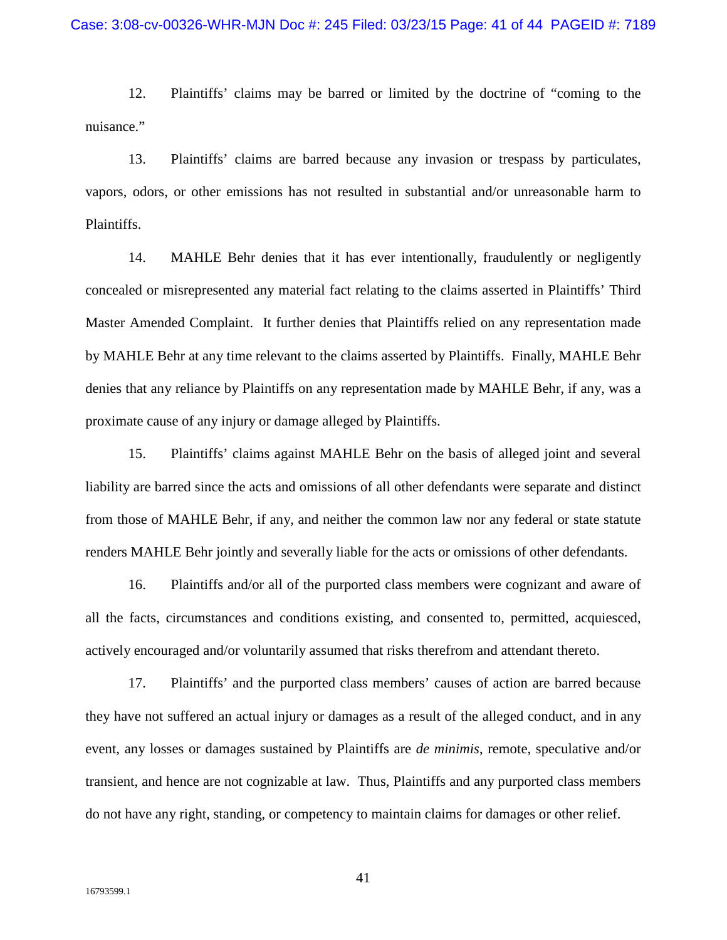12. Plaintiffs' claims may be barred or limited by the doctrine of "coming to the nuisance."

13. Plaintiffs' claims are barred because any invasion or trespass by particulates, vapors, odors, or other emissions has not resulted in substantial and/or unreasonable harm to Plaintiffs.

14. MAHLE Behr denies that it has ever intentionally, fraudulently or negligently concealed or misrepresented any material fact relating to the claims asserted in Plaintiffs' Third Master Amended Complaint. It further denies that Plaintiffs relied on any representation made by MAHLE Behr at any time relevant to the claims asserted by Plaintiffs. Finally, MAHLE Behr denies that any reliance by Plaintiffs on any representation made by MAHLE Behr, if any, was a proximate cause of any injury or damage alleged by Plaintiffs.

15. Plaintiffs' claims against MAHLE Behr on the basis of alleged joint and several liability are barred since the acts and omissions of all other defendants were separate and distinct from those of MAHLE Behr, if any, and neither the common law nor any federal or state statute renders MAHLE Behr jointly and severally liable for the acts or omissions of other defendants.

16. Plaintiffs and/or all of the purported class members were cognizant and aware of all the facts, circumstances and conditions existing, and consented to, permitted, acquiesced, actively encouraged and/or voluntarily assumed that risks therefrom and attendant thereto.

17. Plaintiffs' and the purported class members' causes of action are barred because they have not suffered an actual injury or damages as a result of the alleged conduct, and in any event, any losses or damages sustained by Plaintiffs are *de minimis*, remote, speculative and/or transient, and hence are not cognizable at law. Thus, Plaintiffs and any purported class members do not have any right, standing, or competency to maintain claims for damages or other relief.

41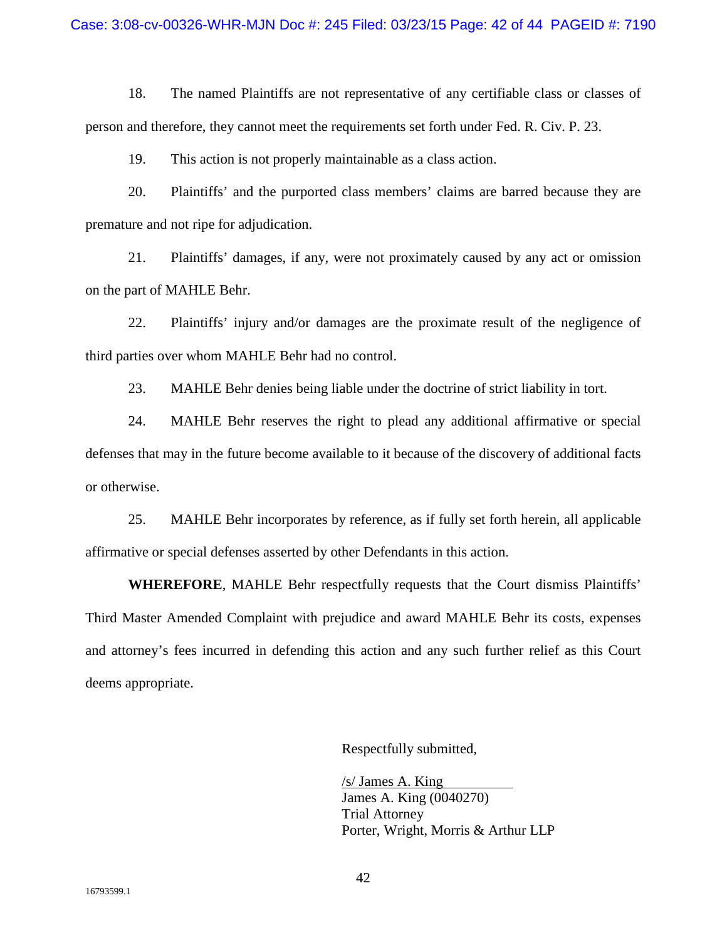18. The named Plaintiffs are not representative of any certifiable class or classes of person and therefore, they cannot meet the requirements set forth under Fed. R. Civ. P. 23.

19. This action is not properly maintainable as a class action.

20. Plaintiffs' and the purported class members' claims are barred because they are premature and not ripe for adjudication.

21. Plaintiffs' damages, if any, were not proximately caused by any act or omission on the part of MAHLE Behr.

22. Plaintiffs' injury and/or damages are the proximate result of the negligence of third parties over whom MAHLE Behr had no control.

23. MAHLE Behr denies being liable under the doctrine of strict liability in tort.

24. MAHLE Behr reserves the right to plead any additional affirmative or special defenses that may in the future become available to it because of the discovery of additional facts or otherwise.

25. MAHLE Behr incorporates by reference, as if fully set forth herein, all applicable affirmative or special defenses asserted by other Defendants in this action.

**WHEREFORE**, MAHLE Behr respectfully requests that the Court dismiss Plaintiffs' Third Master Amended Complaint with prejudice and award MAHLE Behr its costs, expenses and attorney's fees incurred in defending this action and any such further relief as this Court deems appropriate.

Respectfully submitted,

/s/ James A. King James A. King (0040270) Trial Attorney Porter, Wright, Morris & Arthur LLP

42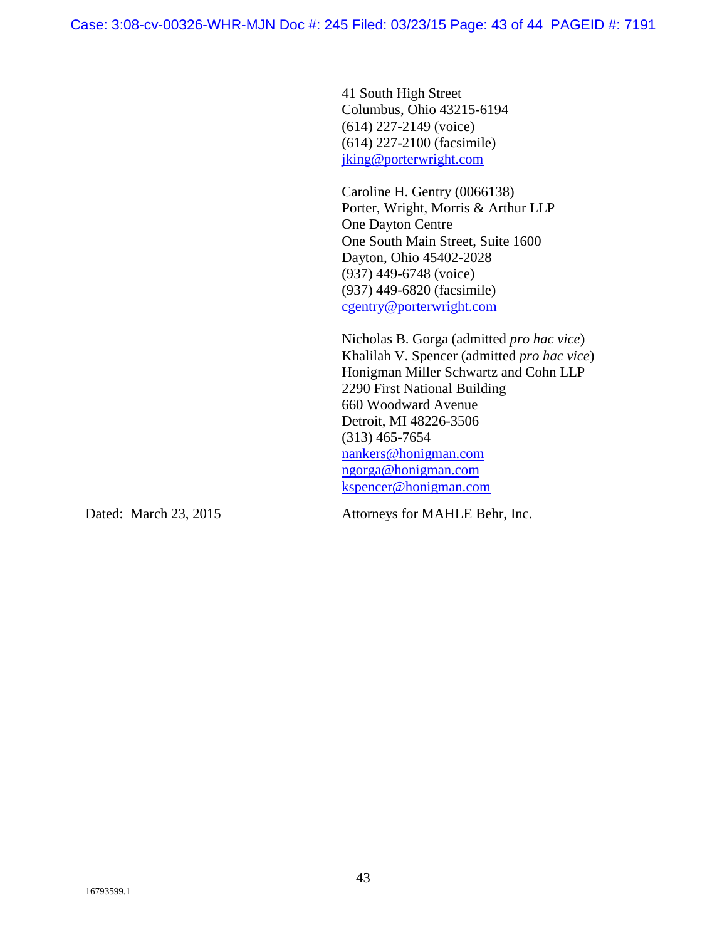Case: 3:08-cv-00326-WHR-MJN Doc #: 245 Filed: 03/23/15 Page: 43 of 44 PAGEID #: 7191

41 South High Street Columbus, Ohio 43215-6194 (614) 227-2149 (voice) (614) 227-2100 (facsimile) jking@porterwright.com

Caroline H. Gentry (0066138) Porter, Wright, Morris & Arthur LLP One Dayton Centre One South Main Street, Suite 1600 Dayton, Ohio 45402-2028 (937) 449-6748 (voice) (937) 449-6820 (facsimile) cgentry@porterwright.com

Nicholas B. Gorga (admitted *pro hac vice*) Khalilah V. Spencer (admitted *pro hac vice*) Honigman Miller Schwartz and Cohn LLP 2290 First National Building 660 Woodward Avenue Detroit, MI 48226-3506 (313) 465-7654 nankers@honigman.com ngorga@honigman.com kspencer@honigman.com

Dated: March 23, 2015 Attorneys for MAHLE Behr, Inc.